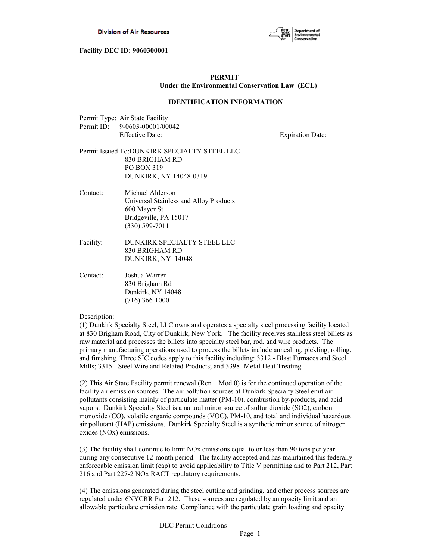

# **PERMIT Under the Environmental Conservation Law (ECL)**

#### **IDENTIFICATION INFORMATION**

| Permit Type: Air State Facility |
|---------------------------------|
| Permit ID: 9-0603-00001/00042   |
| <b>Effective Date:</b>          |

**Expiration Date:** 

# Permit Issued To:DUNKIRK SPECIALTY STEEL LLC 830 BRIGHAM RD PO BOX 319 DUNKIRK, NY 14048-0319

- Contact: Michael Alderson Universal Stainless and Alloy Products 600 Mayer St Bridgeville, PA 15017 (330) 599-7011
- Facility: DUNKIRK SPECIALTY STEEL LLC 830 BRIGHAM RD DUNKIRK, NY 14048
- Contact: Joshua Warren 830 Brigham Rd Dunkirk, NY 14048 (716) 366-1000

#### Description:

(1) Dunkirk Specialty Steel, LLC owns and operates a specialty steel processing facility located at 830 Brigham Road, City of Dunkirk, New York. The facility receives stainless steel billets as raw material and processes the billets into specialty steel bar, rod, and wire products. The primary manufacturing operations used to process the billets include annealing, pickling, rolling, and finishing. Three SIC codes apply to this facility including: 3312 - Blast Furnaces and Steel Mills; 3315 - Steel Wire and Related Products; and 3398- Metal Heat Treating.

(2) This Air State Facility permit renewal (Ren 1 Mod 0) is for the continued operation of the facility air emission sources. The air pollution sources at Dunkirk Specialty Steel emit air pollutants consisting mainly of particulate matter (PM-10), combustion by-products, and acid vapors. Dunkirk Specialty Steel is a natural minor source of sulfur dioxide (SO2), carbon monoxide (CO), volatile organic compounds (VOC), PM-10, and total and individual hazardous air pollutant (HAP) emissions. Dunkirk Specialty Steel is a synthetic minor source of nitrogen oxides (NOx) emissions.

(3) The facility shall continue to limit NOx emissions equal to or less than 90 tons per year during any consecutive 12-month period. The facility accepted and has maintained this federally enforceable emission limit (cap) to avoid applicability to Title V permitting and to Part 212, Part 216 and Part 227-2 NOx RACT regulatory requirements.

(4) The emissions generated during the steel cutting and grinding, and other process sources are regulated under 6NYCRR Part 212. These sources are regulated by an opacity limit and an allowable particulate emission rate. Compliance with the particulate grain loading and opacity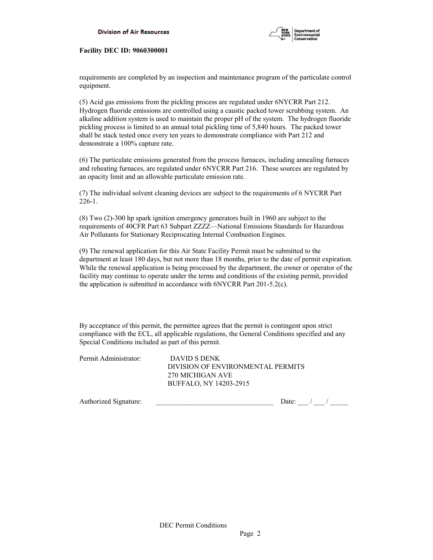

requirements are completed by an inspection and maintenance program of the particulate control equipment.

(5) Acid gas emissions from the pickling process are regulated under 6NYCRR Part 212. Hydrogen fluoride emissions are controlled using a caustic packed tower scrubbing system. An alkaline addition system is used to maintain the proper pH of the system. The hydrogen fluoride pickling process is limited to an annual total pickling time of 5,840 hours. The packed tower shall be stack tested once every ten years to demonstrate compliance with Part 212 and demonstrate a 100% capture rate.

(6) The particulate emissions generated from the process furnaces, including annealing furnaces and reheating furnaces, are regulated under 6NYCRR Part 216. These sources are regulated by an opacity limit and an allowable particulate emission rate.

(7) The individual solvent cleaning devices are subject to the requirements of 6 NYCRR Part 226-1.

(8) Two (2)-300 hp spark ignition emergency generators built in 1960 are subject to the requirements of 40CFR Part 63 Subpart ZZZZ—National Emissions Standards for Hazardous Air Pollutants for Stationary Reciprocating Internal Combustion Engines.

(9) The renewal application for this Air State Facility Permit must be submitted to the department at least 180 days, but not more than 18 months, prior to the date of permit expiration. While the renewal application is being processed by the department, the owner or operator of the facility may continue to operate under the terms and conditions of the existing permit, provided the application is submitted in accordance with 6NYCRR Part 201-5.2(c).

By acceptance of this permit, the permittee agrees that the permit is contingent upon strict compliance with the ECL, all applicable regulations, the General Conditions specified and any Special Conditions included as part of this permit.

| DAVID S DENK                      |
|-----------------------------------|
| DIVISION OF ENVIRONMENTAL PERMITS |
| 270 MICHIGAN AVE                  |
| BUFFALO, NY 14203-2915            |
|                                   |

| Authorized<br>Signature: |  |  |  |
|--------------------------|--|--|--|
|                          |  |  |  |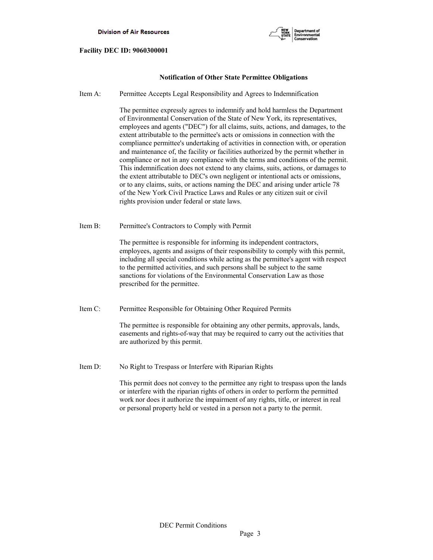

# **Notification of Other State Permittee Obligations**

Item A: Permittee Accepts Legal Responsibility and Agrees to Indemnification

 The permittee expressly agrees to indemnify and hold harmless the Department of Environmental Conservation of the State of New York, its representatives, employees and agents ("DEC") for all claims, suits, actions, and damages, to the extent attributable to the permittee's acts or omissions in connection with the compliance permittee's undertaking of activities in connection with, or operation and maintenance of, the facility or facilities authorized by the permit whether in compliance or not in any compliance with the terms and conditions of the permit. This indemnification does not extend to any claims, suits, actions, or damages to the extent attributable to DEC's own negligent or intentional acts or omissions, or to any claims, suits, or actions naming the DEC and arising under article 78 of the New York Civil Practice Laws and Rules or any citizen suit or civil rights provision under federal or state laws.

Item B: Permittee's Contractors to Comply with Permit

 The permittee is responsible for informing its independent contractors, employees, agents and assigns of their responsibility to comply with this permit, including all special conditions while acting as the permittee's agent with respect to the permitted activities, and such persons shall be subject to the same sanctions for violations of the Environmental Conservation Law as those prescribed for the permittee.

Item C: Permittee Responsible for Obtaining Other Required Permits

 The permittee is responsible for obtaining any other permits, approvals, lands, easements and rights-of-way that may be required to carry out the activities that are authorized by this permit.

Item D: No Right to Trespass or Interfere with Riparian Rights

 This permit does not convey to the permittee any right to trespass upon the lands or interfere with the riparian rights of others in order to perform the permitted work nor does it authorize the impairment of any rights, title, or interest in real or personal property held or vested in a person not a party to the permit.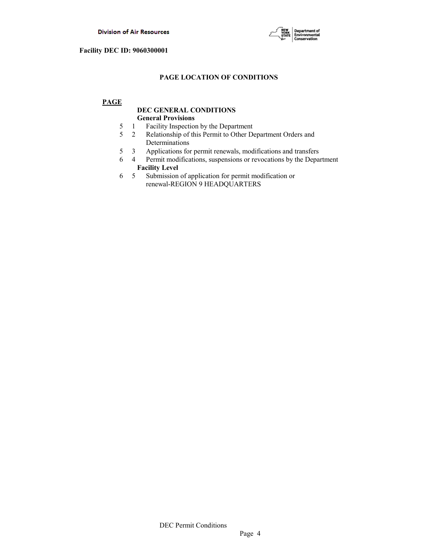

# **PAGE LOCATION OF CONDITIONS**

# **PAGE**

# **DEC GENERAL CONDITIONS General Provisions**

- 5 1 Facility Inspection by the Department
- 5 2 Relationship of this Permit to Other Department Orders and Determinations
- 5 3 Applications for permit renewals, modifications and transfers
- 6 4 Permit modifications, suspensions or revocations by the Department  **Facility Level**
- 6 5 Submission of application for permit modification or renewal-REGION 9 HEADQUARTERS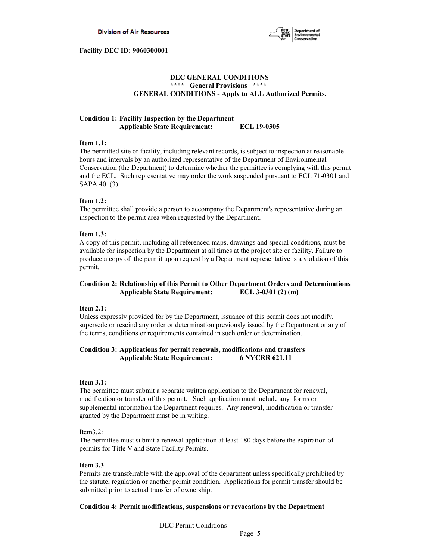

# **DEC GENERAL CONDITIONS \*\*\*\* General Provisions \*\*\*\* GENERAL CONDITIONS - Apply to ALL Authorized Permits.**

# **Condition 1: Facility Inspection by the Department Applicable State Requirement: ECL 19-0305**

### **Item 1.1:**

The permitted site or facility, including relevant records, is subject to inspection at reasonable hours and intervals by an authorized representative of the Department of Environmental Conservation (the Department) to determine whether the permittee is complying with this permit and the ECL. Such representative may order the work suspended pursuant to ECL 71-0301 and SAPA 401(3).

## **Item 1.2:**

The permittee shall provide a person to accompany the Department's representative during an inspection to the permit area when requested by the Department.

### **Item 1.3:**

A copy of this permit, including all referenced maps, drawings and special conditions, must be available for inspection by the Department at all times at the project site or facility. Failure to produce a copy of the permit upon request by a Department representative is a violation of this permit.

# **Condition 2: Relationship of this Permit to Other Department Orders and Determinations Applicable State Requirement: ECL 3-0301 (2) (m)**

## **Item 2.1:**

Unless expressly provided for by the Department, issuance of this permit does not modify, supersede or rescind any order or determination previously issued by the Department or any of the terms, conditions or requirements contained in such order or determination.

## **Condition 3: Applications for permit renewals, modifications and transfers Applicable State Requirement: 6 NYCRR 621.11**

#### **Item 3.1:**

The permittee must submit a separate written application to the Department for renewal, modification or transfer of this permit. Such application must include any forms or supplemental information the Department requires. Any renewal, modification or transfer granted by the Department must be in writing.

## Item3.2:

The permittee must submit a renewal application at least 180 days before the expiration of permits for Title V and State Facility Permits.

#### **Item 3.3**

Permits are transferrable with the approval of the department unless specifically prohibited by the statute, regulation or another permit condition. Applications for permit transfer should be submitted prior to actual transfer of ownership.

## **Condition 4: Permit modifications, suspensions or revocations by the Department**

DEC Permit Conditions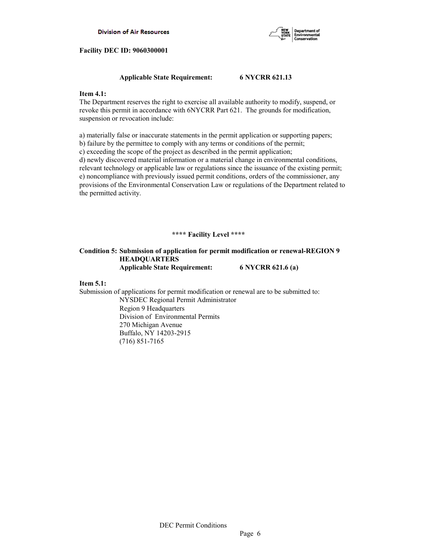

# **Applicable State Requirement: 6 NYCRR 621.13**

# **Item 4.1:**

The Department reserves the right to exercise all available authority to modify, suspend, or revoke this permit in accordance with 6NYCRR Part 621. The grounds for modification, suspension or revocation include:

a) materially false or inaccurate statements in the permit application or supporting papers; b) failure by the permittee to comply with any terms or conditions of the permit;

c) exceeding the scope of the project as described in the permit application;

d) newly discovered material information or a material change in environmental conditions, relevant technology or applicable law or regulations since the issuance of the existing permit; e) noncompliance with previously issued permit conditions, orders of the commissioner, any provisions of the Environmental Conservation Law or regulations of the Department related to the permitted activity.

# **\*\*\*\* Facility Level \*\*\*\***

## **Condition 5: Submission of application for permit modification or renewal-REGION 9 HEADQUARTERS Applicable State Requirement: 6 NYCRR 621.6 (a)**

## **Item 5.1:**

Submission of applications for permit modification or renewal are to be submitted to: NYSDEC Regional Permit Administrator

 Region 9 Headquarters Division of Environmental Permits 270 Michigan Avenue Buffalo, NY 14203-2915 (716) 851-7165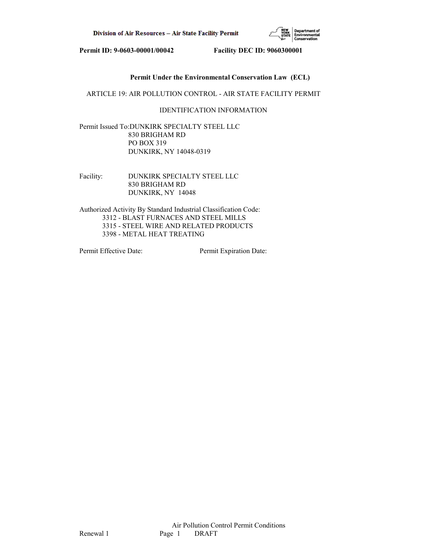

# **Permit Under the Environmental Conservation Law (ECL)**

ARTICLE 19: AIR POLLUTION CONTROL - AIR STATE FACILITY PERMIT

# IDENTIFICATION INFORMATION

Permit Issued To:DUNKIRK SPECIALTY STEEL LLC 830 BRIGHAM RD PO BOX 319 DUNKIRK, NY 14048-0319

Facility: DUNKIRK SPECIALTY STEEL LLC 830 BRIGHAM RD DUNKIRK, NY 14048

Authorized Activity By Standard Industrial Classification Code: 3312 - BLAST FURNACES AND STEEL MILLS 3315 - STEEL WIRE AND RELATED PRODUCTS 3398 - METAL HEAT TREATING

Permit Effective Date: Permit Expiration Date: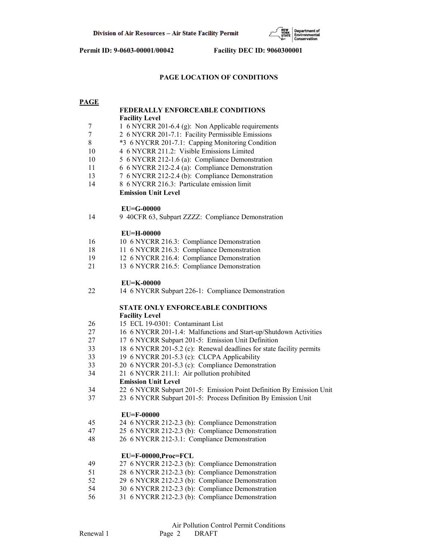

# **PAGE LOCATION OF CONDITIONS**

| <b>PAGE</b> |                                                                      |
|-------------|----------------------------------------------------------------------|
|             | <b>FEDERALLY ENFORCEABLE CONDITIONS</b>                              |
|             | <b>Facility Level</b>                                                |
| 7           | 1 6 NYCRR 201-6.4 (g): Non Applicable requirements                   |
| 7           | 2 6 NYCRR 201-7.1: Facility Permissible Emissions                    |
| 8           | *3 6 NYCRR 201-7.1: Capping Monitoring Condition                     |
| 10          | 4 6 NYCRR 211.2: Visible Emissions Limited                           |
| 10          | 5 6 NYCRR 212-1.6 (a): Compliance Demonstration                      |
| 11          | 6 6 NYCRR 212-2.4 (a): Compliance Demonstration                      |
| 13          | 7 6 NYCRR 212-2.4 (b): Compliance Demonstration                      |
| 14          | 8 6 NYCRR 216.3: Particulate emission limit                          |
|             | <b>Emission Unit Level</b>                                           |
|             | $EU=G-00000$                                                         |
| 14          | 9 40CFR 63, Subpart ZZZZ: Compliance Demonstration                   |
|             | <b>EU=H-00000</b>                                                    |
| 16          | 10 6 NYCRR 216.3: Compliance Demonstration                           |
| 18          | 11 6 NYCRR 216.3: Compliance Demonstration                           |
| 19          | 12 6 NYCRR 216.4: Compliance Demonstration                           |
| 21          | 13 6 NYCRR 216.5: Compliance Demonstration                           |
|             | EU=K-00000                                                           |
| 22          | 14 6 NYCRR Subpart 226-1: Compliance Demonstration                   |
|             | STATE ONLY ENFORCEABLE CONDITIONS                                    |
|             | <b>Facility Level</b>                                                |
| 26          | 15 ECL 19-0301: Contaminant List                                     |
| 27          | 16 6 NYCRR 201-1.4: Malfunctions and Start-up/Shutdown Activities    |
| 27          | 17 6 NYCRR Subpart 201-5: Emission Unit Definition                   |
| 33          | 18 6 NYCRR 201-5.2 (c): Renewal deadlines for state facility permits |
| 33          | 19 6 NYCRR 201-5.3 (c): CLCPA Applicability                          |
| 33          | 20 6 NYCRR 201-5.3 (c): Compliance Demonstration                     |
| 34          | 21 6 NYCRR 211.1: Air pollution prohibited                           |
|             | <b>Emission Unit Level</b>                                           |
| 34          | 22 6 NYCRR Subpart 201-5: Emission Point Definition By Emission Unit |
| 37          | 23 6 NYCRR Subpart 201-5: Process Definition By Emission Unit        |
|             | <b>EU=F-00000</b>                                                    |
| 45          | 24 6 NYCRR 212-2.3 (b): Compliance Demonstration                     |
| 47          | 25 6 NYCRR 212-2.3 (b): Compliance Demonstration                     |
| 48          | 26 6 NYCRR 212-3.1: Compliance Demonstration                         |
|             | EU=F-00000,Proc=FCL                                                  |
| 49          | 27 6 NYCRR 212-2.3 (b): Compliance Demonstration                     |
| 51          | 28 6 NYCRR 212-2.3 (b): Compliance Demonstration                     |
| 52          | 29 6 NYCRR 212-2.3 (b): Compliance Demonstration                     |
| 54          | 30 6 NYCRR 212-2.3 (b): Compliance Demonstration                     |
| 56          | 31 6 NYCRR 212-2.3 (b): Compliance Demonstration                     |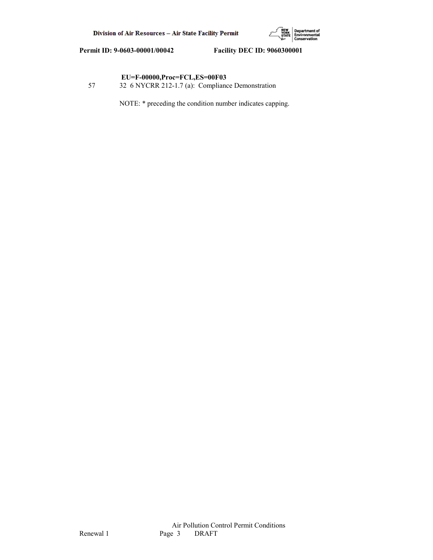

# **EU=F-00000,Proc=FCL,ES=00F03**

57 32 6 NYCRR 212-1.7 (a): Compliance Demonstration

NOTE: \* preceding the condition number indicates capping.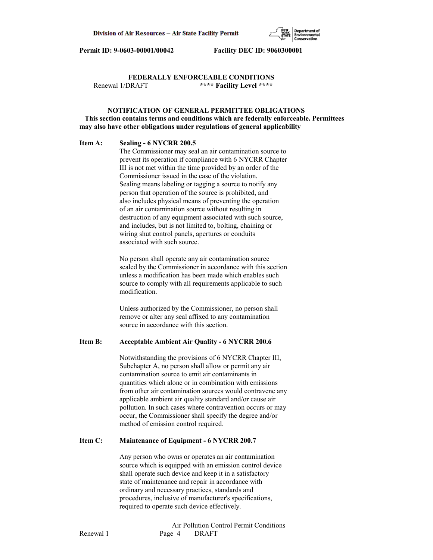

# **FEDERALLY ENFORCEABLE CONDITIONS** Renewal 1/DRAFT **\*\*\*\* Facility Level \*\*\*\***

# **NOTIFICATION OF GENERAL PERMITTEE OBLIGATIONS This section contains terms and conditions which are federally enforceable. Permittees may also have other obligations under regulations of general applicability**

#### **Item A: Sealing - 6 NYCRR 200.5**

 The Commissioner may seal an air contamination source to prevent its operation if compliance with 6 NYCRR Chapter III is not met within the time provided by an order of the Commissioner issued in the case of the violation. Sealing means labeling or tagging a source to notify any person that operation of the source is prohibited, and also includes physical means of preventing the operation of an air contamination source without resulting in destruction of any equipment associated with such source, and includes, but is not limited to, bolting, chaining or wiring shut control panels, apertures or conduits associated with such source.

 No person shall operate any air contamination source sealed by the Commissioner in accordance with this section unless a modification has been made which enables such source to comply with all requirements applicable to such modification.

 Unless authorized by the Commissioner, no person shall remove or alter any seal affixed to any contamination source in accordance with this section.

## **Item B: Acceptable Ambient Air Quality - 6 NYCRR 200.6**

 Notwithstanding the provisions of 6 NYCRR Chapter III, Subchapter A, no person shall allow or permit any air contamination source to emit air contaminants in quantities which alone or in combination with emissions from other air contamination sources would contravene any applicable ambient air quality standard and/or cause air pollution. In such cases where contravention occurs or may occur, the Commissioner shall specify the degree and/or method of emission control required.

#### **Item C: Maintenance of Equipment - 6 NYCRR 200.7**

 Any person who owns or operates an air contamination source which is equipped with an emission control device shall operate such device and keep it in a satisfactory state of maintenance and repair in accordance with ordinary and necessary practices, standards and procedures, inclusive of manufacturer's specifications, required to operate such device effectively.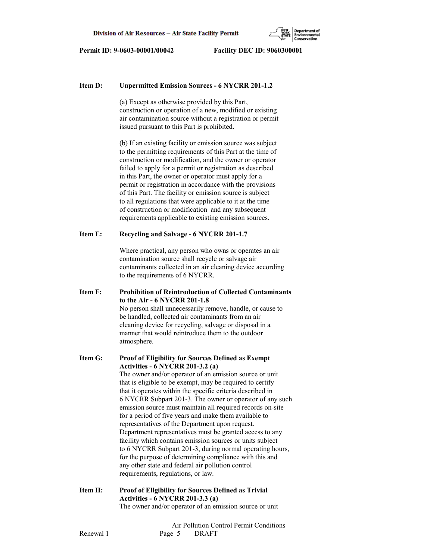

### **Item D: Unpermitted Emission Sources - 6 NYCRR 201-1.2**

 (a) Except as otherwise provided by this Part, construction or operation of a new, modified or existing air contamination source without a registration or permit issued pursuant to this Part is prohibited.

 (b) If an existing facility or emission source was subject to the permitting requirements of this Part at the time of construction or modification, and the owner or operator failed to apply for a permit or registration as described in this Part, the owner or operator must apply for a permit or registration in accordance with the provisions of this Part. The facility or emission source is subject to all regulations that were applicable to it at the time of construction or modification and any subsequent requirements applicable to existing emission sources.

### **Item E: Recycling and Salvage - 6 NYCRR 201-1.7**

 Where practical, any person who owns or operates an air contamination source shall recycle or salvage air contaminants collected in an air cleaning device according to the requirements of 6 NYCRR.

**Item F: Prohibition of Reintroduction of Collected Contaminants to the Air - 6 NYCRR 201-1.8** No person shall unnecessarily remove, handle, or cause to be handled, collected air contaminants from an air cleaning device for recycling, salvage or disposal in a manner that would reintroduce them to the outdoor atmosphere.

**Item G: Proof of Eligibility for Sources Defined as Exempt Activities - 6 NYCRR 201-3.2 (a)** The owner and/or operator of an emission source or unit that is eligible to be exempt, may be required to certify that it operates within the specific criteria described in 6 NYCRR Subpart 201-3. The owner or operator of any such emission source must maintain all required records on-site for a period of five years and make them available to representatives of the Department upon request. Department representatives must be granted access to any facility which contains emission sources or units subject to 6 NYCRR Subpart 201-3, during normal operating hours, for the purpose of determining compliance with this and any other state and federal air pollution control requirements, regulations, or law.

**Item H: Proof of Eligibility for Sources Defined as Trivial Activities - 6 NYCRR 201-3.3 (a)** The owner and/or operator of an emission source or unit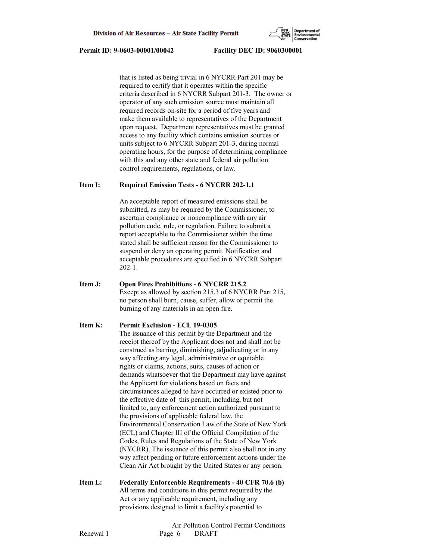that is listed as being trivial in 6 NYCRR Part 201 may be required to certify that it operates within the specific criteria described in 6 NYCRR Subpart 201-3. The owner or operator of any such emission source must maintain all required records on-site for a period of five years and make them available to representatives of the Department upon request. Department representatives must be granted access to any facility which contains emission sources or units subject to 6 NYCRR Subpart 201-3, during normal operating hours, for the purpose of determining compliance with this and any other state and federal air pollution control requirements, regulations, or law.

# **Item I: Required Emission Tests - 6 NYCRR 202-1.1**

 An acceptable report of measured emissions shall be submitted, as may be required by the Commissioner, to ascertain compliance or noncompliance with any air pollution code, rule, or regulation. Failure to submit a report acceptable to the Commissioner within the time stated shall be sufficient reason for the Commissioner to suspend or deny an operating permit. Notification and acceptable procedures are specified in 6 NYCRR Subpart 202-1.

**Item J: Open Fires Prohibitions - 6 NYCRR 215.2** Except as allowed by section 215.3 of 6 NYCRR Part 215, no person shall burn, cause, suffer, allow or permit the burning of any materials in an open fire.

## **Item K: Permit Exclusion - ECL 19-0305**

 The issuance of this permit by the Department and the receipt thereof by the Applicant does not and shall not be construed as barring, diminishing, adjudicating or in any way affecting any legal, administrative or equitable rights or claims, actions, suits, causes of action or demands whatsoever that the Department may have against the Applicant for violations based on facts and circumstances alleged to have occurred or existed prior to the effective date of this permit, including, but not limited to, any enforcement action authorized pursuant to the provisions of applicable federal law, the Environmental Conservation Law of the State of New York (ECL) and Chapter III of the Official Compilation of the Codes, Rules and Regulations of the State of New York (NYCRR). The issuance of this permit also shall not in any way affect pending or future enforcement actions under the Clean Air Act brought by the United States or any person.

**Item L: Federally Enforceable Requirements - 40 CFR 70.6 (b)** All terms and conditions in this permit required by the Act or any applicable requirement, including any provisions designed to limit a facility's potential to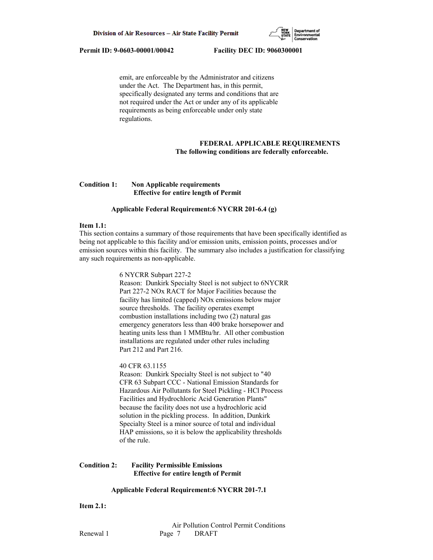

 emit, are enforceable by the Administrator and citizens under the Act. The Department has, in this permit, specifically designated any terms and conditions that are not required under the Act or under any of its applicable requirements as being enforceable under only state regulations.

# **FEDERAL APPLICABLE REQUIREMENTS The following conditions are federally enforceable.**

## **Condition 1: Non Applicable requirements Effective for entire length of Permit**

# **Applicable Federal Requirement:6 NYCRR 201-6.4 (g)**

#### **Item 1.1:**

This section contains a summary of those requirements that have been specifically identified as being not applicable to this facility and/or emission units, emission points, processes and/or emission sources within this facility. The summary also includes a justification for classifying any such requirements as non-applicable.

#### 6 NYCRR Subpart 227-2

 Reason: Dunkirk Specialty Steel is not subject to 6NYCRR Part 227-2 NOx RACT for Major Facilities because the facility has limited (capped) NOx emissions below major source thresholds. The facility operates exempt combustion installations including two (2) natural gas emergency generators less than 400 brake horsepower and heating units less than 1 MMBtu/hr. All other combustion installations are regulated under other rules including Part 212 and Part 216.

#### 40 CFR 63.1155

 Reason: Dunkirk Specialty Steel is not subject to "40 CFR 63 Subpart CCC - National Emission Standards for Hazardous Air Pollutants for Steel Pickling - HCl Process Facilities and Hydrochloric Acid Generation Plants" because the facility does not use a hydrochloric acid solution in the pickling process. In addition, Dunkirk Specialty Steel is a minor source of total and individual HAP emissions, so it is below the applicability thresholds of the rule.

### **Condition 2: Facility Permissible Emissions Effective for entire length of Permit**

#### **Applicable Federal Requirement:6 NYCRR 201-7.1**

**Item 2.1:**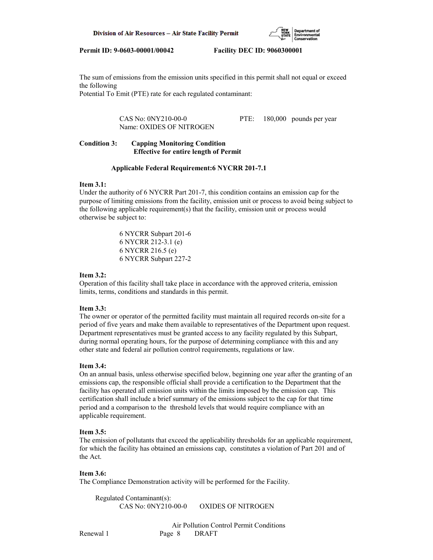

The sum of emissions from the emission units specified in this permit shall not equal or exceed the following

Potential To Emit (PTE) rate for each regulated contaminant:

 CAS No: 0NY210-00-0 PTE: 180,000 pounds per year Name: OXIDES OF NITROGEN

# **Condition 3: Capping Monitoring Condition Effective for entire length of Permit**

### **Applicable Federal Requirement:6 NYCRR 201-7.1**

### **Item 3.1:**

Under the authority of 6 NYCRR Part 201-7, this condition contains an emission cap for the purpose of limiting emissions from the facility, emission unit or process to avoid being subject to the following applicable requirement(s) that the facility, emission unit or process would otherwise be subject to:

> 6 NYCRR Subpart 201-6 6 NYCRR 212-3.1 (e) 6 NYCRR 216.5 (e) 6 NYCRR Subpart 227-2

## **Item 3.2:**

Operation of this facility shall take place in accordance with the approved criteria, emission limits, terms, conditions and standards in this permit.

## **Item 3.3:**

The owner or operator of the permitted facility must maintain all required records on-site for a period of five years and make them available to representatives of the Department upon request. Department representatives must be granted access to any facility regulated by this Subpart, during normal operating hours, for the purpose of determining compliance with this and any other state and federal air pollution control requirements, regulations or law.

#### **Item 3.4:**

On an annual basis, unless otherwise specified below, beginning one year after the granting of an emissions cap, the responsible official shall provide a certification to the Department that the facility has operated all emission units within the limits imposed by the emission cap. This certification shall include a brief summary of the emissions subject to the cap for that time period and a comparison to the threshold levels that would require compliance with an applicable requirement.

#### **Item 3.5:**

The emission of pollutants that exceed the applicability thresholds for an applicable requirement, for which the facility has obtained an emissions cap, constitutes a violation of Part 201 and of the Act.

#### **Item 3.6:**

The Compliance Demonstration activity will be performed for the Facility.

 Regulated Contaminant(s): CAS No: 0NY210-00-0 OXIDES OF NITROGEN

 Air Pollution Control Permit Conditions Renewal 1 Page 8 DRAFT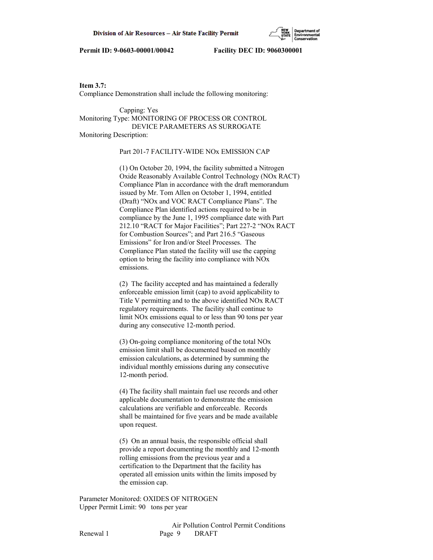

**Item 3.7:** Compliance Demonstration shall include the following monitoring:

 Capping: Yes Monitoring Type: MONITORING OF PROCESS OR CONTROL DEVICE PARAMETERS AS SURROGATE Monitoring Description:

## Part 201-7 FACILITY-WIDE NOx EMISSION CAP

 (1) On October 20, 1994, the facility submitted a Nitrogen Oxide Reasonably Available Control Technology (NOx RACT) Compliance Plan in accordance with the draft memorandum issued by Mr. Tom Allen on October 1, 1994, entitled (Draft) "NOx and VOC RACT Compliance Plans". The Compliance Plan identified actions required to be in compliance by the June 1, 1995 compliance date with Part 212.10 "RACT for Major Facilities"; Part 227-2 "NOx RACT for Combustion Sources"; and Part 216.5 "Gaseous Emissions" for Iron and/or Steel Processes. The Compliance Plan stated the facility will use the capping option to bring the facility into compliance with NOx emissions.

 (2) The facility accepted and has maintained a federally enforceable emission limit (cap) to avoid applicability to Title V permitting and to the above identified NOx RACT regulatory requirements. The facility shall continue to limit NOx emissions equal to or less than 90 tons per year during any consecutive 12-month period.

 (3) On-going compliance monitoring of the total NOx emission limit shall be documented based on monthly emission calculations, as determined by summing the individual monthly emissions during any consecutive 12-month period.

 (4) The facility shall maintain fuel use records and other applicable documentation to demonstrate the emission calculations are verifiable and enforceable. Records shall be maintained for five years and be made available upon request.

 (5) On an annual basis, the responsible official shall provide a report documenting the monthly and 12-month rolling emissions from the previous year and a certification to the Department that the facility has operated all emission units within the limits imposed by the emission cap.

Parameter Monitored: OXIDES OF NITROGEN Upper Permit Limit: 90 tons per year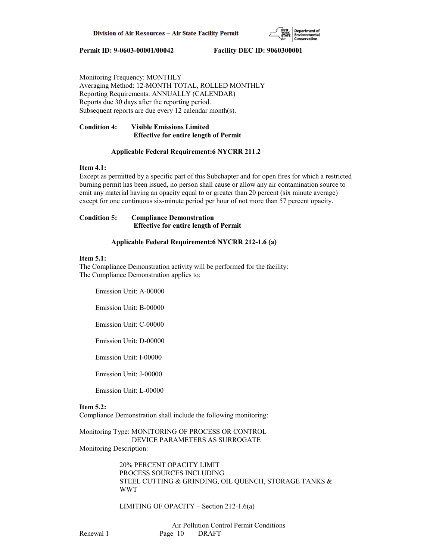

Monitoring Frequency: MONTHLY Averaging Method: 12-MONTH TOTAL, ROLLED MONTHLY Reporting Requirements: ANNUALLY (CALENDAR) Reports due 30 days after the reporting period. Subsequent reports are due every 12 calendar month(s).

# **Condition 4: Visible Emissions Limited Effective for entire length of Permit**

# **Applicable Federal Requirement:6 NYCRR 211.2**

## **Item 4.1:**

Except as permitted by a specific part of this Subchapter and for open fires for which a restricted burning permit has been issued, no person shall cause or allow any air contamination source to emit any material having an opacity equal to or greater than 20 percent (six minute average) except for one continuous six-minute period per hour of not more than 57 percent opacity.

## **Condition 5: Compliance Demonstration Effective for entire length of Permit**

# **Applicable Federal Requirement:6 NYCRR 212-1.6 (a)**

## **Item 5.1:**

The Compliance Demonstration activity will be performed for the facility: The Compliance Demonstration applies to:

Emission Unit: A-00000

Emission Unit: B-00000

Emission Unit: C-00000

Emission Unit: D-00000

Emission Unit: I-00000

Emission Unit: J-00000

Emission Unit: L-00000

# **Item 5.2:**

Compliance Demonstration shall include the following monitoring:

Monitoring Type: MONITORING OF PROCESS OR CONTROL DEVICE PARAMETERS AS SURROGATE Monitoring Description:

> 20% PERCENT OPACITY LIMIT PROCESS SOURCES INCLUDING STEEL CUTTING & GRINDING, OIL QUENCH, STORAGE TANKS & WWT

LIMITING OF OPACITY – Section 212-1.6(a)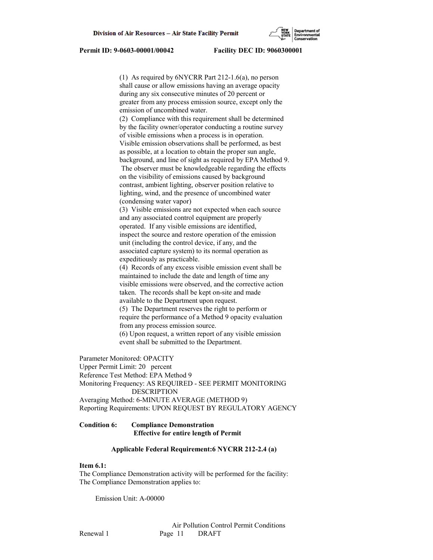(1) As required by 6NYCRR Part 212-1.6(a), no person shall cause or allow emissions having an average opacity during any six consecutive minutes of 20 percent or greater from any process emission source, except only the emission of uncombined water. (2) Compliance with this requirement shall be determined by the facility owner/operator conducting a routine survey of visible emissions when a process is in operation. Visible emission observations shall be performed, as best as possible, at a location to obtain the proper sun angle, background, and line of sight as required by EPA Method 9. The observer must be knowledgeable regarding the effects on the visibility of emissions caused by background contrast, ambient lighting, observer position relative to lighting, wind, and the presence of uncombined water (condensing water vapor) (3) Visible emissions are not expected when each source and any associated control equipment are properly operated. If any visible emissions are identified, inspect the source and restore operation of the emission unit (including the control device, if any, and the associated capture system) to its normal operation as expeditiously as practicable. (4) Records of any excess visible emission event shall be maintained to include the date and length of time any visible emissions were observed, and the corrective action taken. The records shall be kept on-site and made available to the Department upon request. (5) The Department reserves the right to perform or require the performance of a Method 9 opacity evaluation from any process emission source. (6) Upon request, a written report of any visible emission event shall be submitted to the Department. Parameter Monitored: OPACITY Upper Permit Limit: 20 percent Reference Test Method: EPA Method 9 Monitoring Frequency: AS REQUIRED - SEE PERMIT MONITORING

 DESCRIPTION Averaging Method: 6-MINUTE AVERAGE (METHOD 9) Reporting Requirements: UPON REQUEST BY REGULATORY AGENCY

## **Condition 6: Compliance Demonstration Effective for entire length of Permit**

#### **Applicable Federal Requirement:6 NYCRR 212-2.4 (a)**

# **Item 6.1:**

The Compliance Demonstration activity will be performed for the facility: The Compliance Demonstration applies to:

Emission Unit: A-00000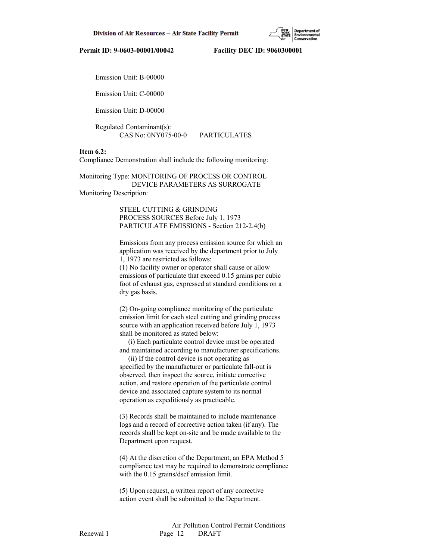

Emission Unit: B-00000

Emission Unit: C-00000

Emission Unit: D-00000

 Regulated Contaminant(s): CAS No: 0NY075-00-0 PARTICULATES

# **Item 6.2:**

Compliance Demonstration shall include the following monitoring:

Monitoring Type: MONITORING OF PROCESS OR CONTROL DEVICE PARAMETERS AS SURROGATE Monitoring Description:

> STEEL CUTTING & GRINDING PROCESS SOURCES Before July 1, 1973 PARTICULATE EMISSIONS - Section 212-2.4(b)

 Emissions from any process emission source for which an application was received by the department prior to July 1, 1973 are restricted as follows:

 (1) No facility owner or operator shall cause or allow emissions of particulate that exceed 0.15 grains per cubic foot of exhaust gas, expressed at standard conditions on a dry gas basis.

 (2) On-going compliance monitoring of the particulate emission limit for each steel cutting and grinding process source with an application received before July 1, 1973 shall be monitored as stated below:

 (i) Each particulate control device must be operated and maintained according to manufacturer specifications.

 (ii) If the control device is not operating as specified by the manufacturer or particulate fall-out is observed, then inspect the source, initiate corrective action, and restore operation of the particulate control device and associated capture system to its normal operation as expeditiously as practicable.

 (3) Records shall be maintained to include maintenance logs and a record of corrective action taken (if any). The records shall be kept on-site and be made available to the Department upon request.

 (4) At the discretion of the Department, an EPA Method 5 compliance test may be required to demonstrate compliance with the 0.15 grains/dscf emission limit.

 (5) Upon request, a written report of any corrective action event shall be submitted to the Department.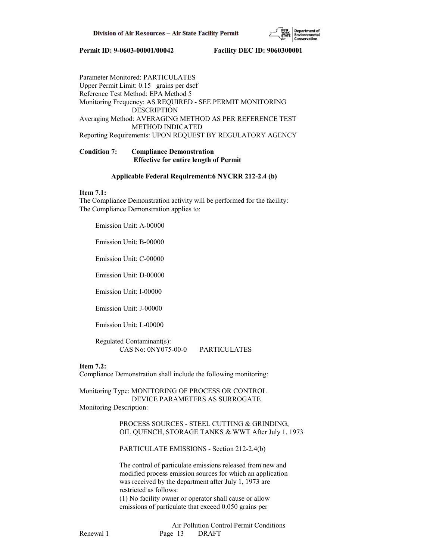

Parameter Monitored: PARTICULATES Upper Permit Limit: 0.15 grains per dscf Reference Test Method: EPA Method 5 Monitoring Frequency: AS REQUIRED - SEE PERMIT MONITORING DESCRIPTION Averaging Method: AVERAGING METHOD AS PER REFERENCE TEST METHOD INDICATED Reporting Requirements: UPON REQUEST BY REGULATORY AGENCY

# **Condition 7: Compliance Demonstration Effective for entire length of Permit**

## **Applicable Federal Requirement:6 NYCRR 212-2.4 (b)**

## **Item 7.1:**

The Compliance Demonstration activity will be performed for the facility: The Compliance Demonstration applies to:

Emission Unit: A-00000

Emission Unit: B-00000

Emission Unit: C-00000

Emission Unit: D-00000

Emission Unit: I-00000

Emission Unit: J-00000

Emission Unit: L-00000

 Regulated Contaminant(s): CAS No: 0NY075-00-0 PARTICULATES

#### **Item 7.2:**

Compliance Demonstration shall include the following monitoring:

Monitoring Type: MONITORING OF PROCESS OR CONTROL DEVICE PARAMETERS AS SURROGATE Monitoring Description:

> PROCESS SOURCES - STEEL CUTTING & GRINDING, OIL QUENCH, STORAGE TANKS & WWT After July 1, 1973

PARTICULATE EMISSIONS - Section 212-2.4(b)

 The control of particulate emissions released from new and modified process emission sources for which an application was received by the department after July 1, 1973 are restricted as follows:

 (1) No facility owner or operator shall cause or allow emissions of particulate that exceed 0.050 grains per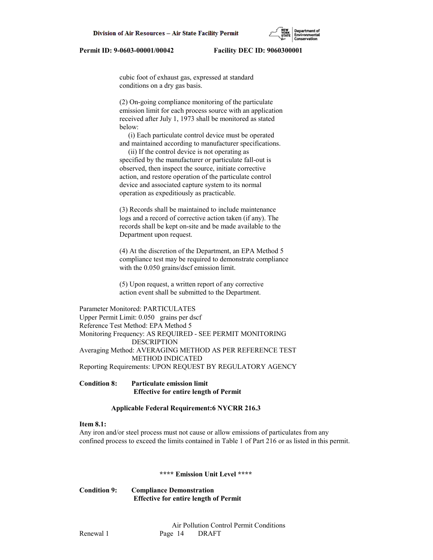cubic foot of exhaust gas, expressed at standard conditions on a dry gas basis.

 (2) On-going compliance monitoring of the particulate emission limit for each process source with an application received after July 1, 1973 shall be monitored as stated below:

 (i) Each particulate control device must be operated and maintained according to manufacturer specifications.

 (ii) If the control device is not operating as specified by the manufacturer or particulate fall-out is observed, then inspect the source, initiate corrective action, and restore operation of the particulate control device and associated capture system to its normal operation as expeditiously as practicable.

 (3) Records shall be maintained to include maintenance logs and a record of corrective action taken (if any). The records shall be kept on-site and be made available to the Department upon request.

 (4) At the discretion of the Department, an EPA Method 5 compliance test may be required to demonstrate compliance with the 0.050 grains/dscf emission limit.

 (5) Upon request, a written report of any corrective action event shall be submitted to the Department.

Parameter Monitored: PARTICULATES Upper Permit Limit: 0.050 grains per dscf Reference Test Method: EPA Method 5 Monitoring Frequency: AS REQUIRED - SEE PERMIT MONITORING DESCRIPTION Averaging Method: AVERAGING METHOD AS PER REFERENCE TEST METHOD INDICATED Reporting Requirements: UPON REQUEST BY REGULATORY AGENCY

**Condition 8: Particulate emission limit Effective for entire length of Permit**

### **Applicable Federal Requirement:6 NYCRR 216.3**

# **Item 8.1:**

Any iron and/or steel process must not cause or allow emissions of particulates from any confined process to exceed the limits contained in Table 1 of Part 216 or as listed in this permit.

# **\*\*\*\* Emission Unit Level \*\*\*\***

**Condition 9: Compliance Demonstration Effective for entire length of Permit**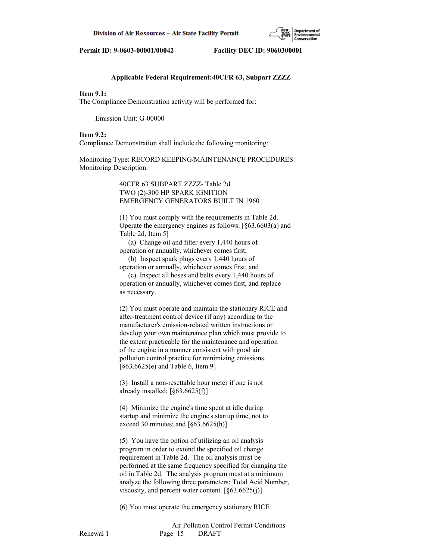## **Applicable Federal Requirement:40CFR 63, Subpart ZZZZ**

# **Item 9.1:**

The Compliance Demonstration activity will be performed for:

Emission Unit: G-00000

#### **Item 9.2:**

Compliance Demonstration shall include the following monitoring:

Monitoring Type: RECORD KEEPING/MAINTENANCE PROCEDURES Monitoring Description:

# 40CFR 63 SUBPART ZZZZ- Table 2d TWO (2)-300 HP SPARK IGNITION EMERGENCY GENERATORS BUILT IN 1960

 (1) You must comply with the requirements in Table 2d. Operate the emergency engines as follows: [§63.6603(a) and Table 2d, Item 5]

 (a) Change oil and filter every 1,440 hours of operation or annually, whichever comes first;

 (b) Inspect spark plugs every 1,440 hours of operation or annually, whichever comes first; and

 (c) Inspect all hoses and belts every 1,440 hours of operation or annually, whichever comes first, and replace as necessary.

 (2) You must operate and maintain the stationary RICE and after-treatment control device (if any) according to the manufacturer's emission-related written instructions or develop your own maintenance plan which must provide to the extent practicable for the maintenance and operation of the engine in a manner consistent with good air pollution control practice for minimizing emissions. [§63.6625(e) and Table 6, Item 9]

 (3) Install a non-resettable hour meter if one is not already installed; [§63.6625(f)]

 (4) Minimize the engine's time spent at idle during startup and minimize the engine's startup time, not to exceed 30 minutes; and  $[§63.6625(h)]$ 

 (5) You have the option of utilizing an oil analysis program in order to extend the specified oil change requirement in Table 2d. The oil analysis must be performed at the same frequency specified for changing the oil in Table 2d. The analysis program must at a minimum analyze the following three parameters: Total Acid Number, viscosity, and percent water content.  $\lceil \S 63.6625(j) \rceil$ 

(6) You must operate the emergency stationary RICE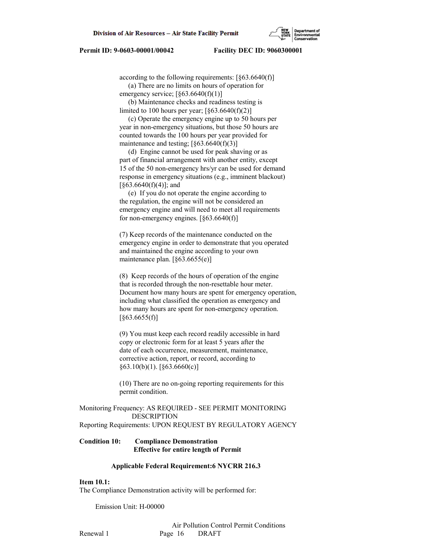according to the following requirements:  $[§63.6640(f)]$ 

 (a) There are no limits on hours of operation for emergency service;  $\left[\frac{663.6640(f)(1)}{2}\right]$ 

(b) Maintenance checks and readiness testing is

limited to 100 hours per year;  $[§63.6640(f)(2)]$  (c) Operate the emergency engine up to 50 hours per year in non-emergency situations, but those 50 hours are counted towards the 100 hours per year provided for maintenance and testing;  $[§63.6640(f)(3)]$ 

 (d) Engine cannot be used for peak shaving or as part of financial arrangement with another entity, except 15 of the 50 non-emergency hrs/yr can be used for demand response in emergency situations (e.g., imminent blackout)  $\lceil$ §63.6640(f)(4)]; and

 (e) If you do not operate the engine according to the regulation, the engine will not be considered an emergency engine and will need to meet all requirements for non-emergency engines.  $\lceil \frac{63.6640(f)}{f} \rceil$ 

 (7) Keep records of the maintenance conducted on the emergency engine in order to demonstrate that you operated and maintained the engine according to your own maintenance plan. [§63.6655(e)]

 (8) Keep records of the hours of operation of the engine that is recorded through the non-resettable hour meter. Document how many hours are spent for emergency operation, including what classified the operation as emergency and how many hours are spent for non-emergency operation. [§63.6655(f)]

 (9) You must keep each record readily accessible in hard copy or electronic form for at least 5 years after the date of each occurrence, measurement, maintenance, corrective action, report, or record, according to  $\S 63.10(b)(1)$ . [ $\S 63.6660(c)$ ]

 (10) There are no on-going reporting requirements for this permit condition.

Monitoring Frequency: AS REQUIRED - SEE PERMIT MONITORING DESCRIPTION Reporting Requirements: UPON REQUEST BY REGULATORY AGENCY

## **Condition 10: Compliance Demonstration Effective for entire length of Permit**

#### **Applicable Federal Requirement:6 NYCRR 216.3**

# **Item 10.1:**

The Compliance Demonstration activity will be performed for:

Emission Unit: H-00000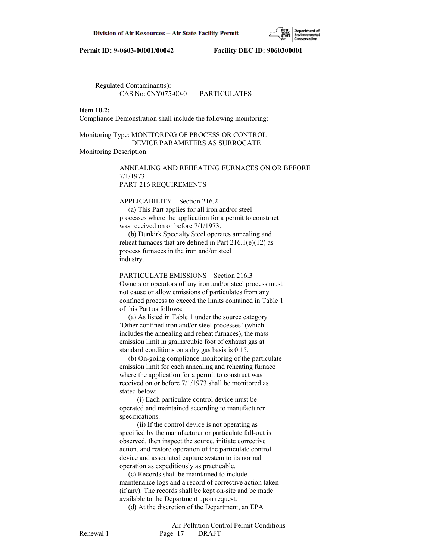

 Regulated Contaminant(s): CAS No: 0NY075-00-0 PARTICULATES

#### **Item 10.2:**

Compliance Demonstration shall include the following monitoring:

# Monitoring Type: MONITORING OF PROCESS OR CONTROL DEVICE PARAMETERS AS SURROGATE Monitoring Description:

 ANNEALING AND REHEATING FURNACES ON OR BEFORE 7/1/1973 PART 216 REQUIREMENTS

APPLICABILITY – Section 216.2

 (a) This Part applies for all iron and/or steel processes where the application for a permit to construct was received on or before 7/1/1973.

 (b) Dunkirk Specialty Steel operates annealing and reheat furnaces that are defined in Part  $216.1(e)(12)$  as process furnaces in the iron and/or steel industry.

PARTICULATE EMISSIONS – Section 216.3

 Owners or operators of any iron and/or steel process must not cause or allow emissions of particulates from any confined process to exceed the limits contained in Table 1 of this Part as follows:

 (a) As listed in Table 1 under the source category 'Other confined iron and/or steel processes' (which includes the annealing and reheat furnaces), the mass emission limit in grains/cubic foot of exhaust gas at standard conditions on a dry gas basis is 0.15.

 (b) On-going compliance monitoring of the particulate emission limit for each annealing and reheating furnace where the application for a permit to construct was received on or before 7/1/1973 shall be monitored as stated below:

 (i) Each particulate control device must be operated and maintained according to manufacturer specifications.

 (ii) If the control device is not operating as specified by the manufacturer or particulate fall-out is observed, then inspect the source, initiate corrective action, and restore operation of the particulate control device and associated capture system to its normal operation as expeditiously as practicable.

 (c) Records shall be maintained to include maintenance logs and a record of corrective action taken (if any). The records shall be kept on-site and be made available to the Department upon request.

(d) At the discretion of the Department, an EPA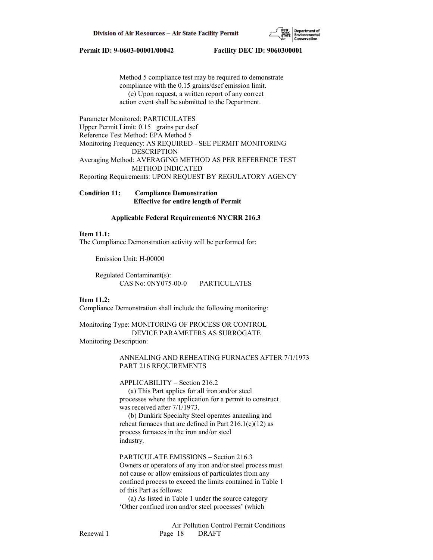

 Method 5 compliance test may be required to demonstrate compliance with the 0.15 grains/dscf emission limit. (e) Upon request, a written report of any correct action event shall be submitted to the Department.

Parameter Monitored: PARTICULATES Upper Permit Limit: 0.15 grains per dscf Reference Test Method: EPA Method 5 Monitoring Frequency: AS REQUIRED - SEE PERMIT MONITORING DESCRIPTION Averaging Method: AVERAGING METHOD AS PER REFERENCE TEST METHOD INDICATED Reporting Requirements: UPON REQUEST BY REGULATORY AGENCY

**Condition 11: Compliance Demonstration Effective for entire length of Permit**

#### **Applicable Federal Requirement:6 NYCRR 216.3**

## **Item 11.1:**

The Compliance Demonstration activity will be performed for:

Emission Unit: H-00000

 Regulated Contaminant(s): CAS No: 0NY075-00-0 PARTICULATES

#### **Item 11.2:**

Compliance Demonstration shall include the following monitoring:

Monitoring Type: MONITORING OF PROCESS OR CONTROL DEVICE PARAMETERS AS SURROGATE Monitoring Description:

> ANNEALING AND REHEATING FURNACES AFTER 7/1/1973 PART 216 REQUIREMENTS

APPLICABILITY – Section 216.2

 (a) This Part applies for all iron and/or steel processes where the application for a permit to construct was received after 7/1/1973.

 (b) Dunkirk Specialty Steel operates annealing and reheat furnaces that are defined in Part  $216.1(e)(12)$  as process furnaces in the iron and/or steel industry.

PARTICULATE EMISSIONS – Section 216.3

 Owners or operators of any iron and/or steel process must not cause or allow emissions of particulates from any confined process to exceed the limits contained in Table 1 of this Part as follows:

 (a) As listed in Table 1 under the source category 'Other confined iron and/or steel processes' (which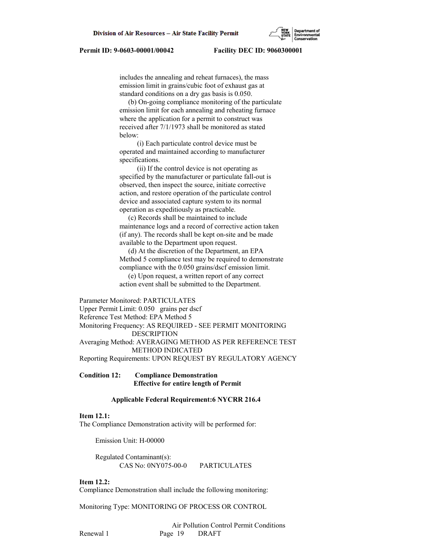includes the annealing and reheat furnaces), the mass emission limit in grains/cubic foot of exhaust gas at standard conditions on a dry gas basis is 0.050.

 (b) On-going compliance monitoring of the particulate emission limit for each annealing and reheating furnace where the application for a permit to construct was received after 7/1/1973 shall be monitored as stated below:

 (i) Each particulate control device must be operated and maintained according to manufacturer specifications.

 (ii) If the control device is not operating as specified by the manufacturer or particulate fall-out is observed, then inspect the source, initiate corrective action, and restore operation of the particulate control device and associated capture system to its normal operation as expeditiously as practicable.

 (c) Records shall be maintained to include maintenance logs and a record of corrective action taken (if any). The records shall be kept on-site and be made available to the Department upon request.

 (d) At the discretion of the Department, an EPA Method 5 compliance test may be required to demonstrate compliance with the 0.050 grains/dscf emission limit.

 (e) Upon request, a written report of any correct action event shall be submitted to the Department.

Parameter Monitored: PARTICULATES Upper Permit Limit: 0.050 grains per dscf Reference Test Method: EPA Method 5 Monitoring Frequency: AS REQUIRED - SEE PERMIT MONITORING DESCRIPTION Averaging Method: AVERAGING METHOD AS PER REFERENCE TEST METHOD INDICATED

Reporting Requirements: UPON REQUEST BY REGULATORY AGENCY

## **Condition 12: Compliance Demonstration Effective for entire length of Permit**

### **Applicable Federal Requirement:6 NYCRR 216.4**

#### **Item 12.1:**

The Compliance Demonstration activity will be performed for:

Emission Unit: H-00000

 Regulated Contaminant(s): CAS No: 0NY075-00-0 PARTICULATES

## **Item 12.2:**

Compliance Demonstration shall include the following monitoring:

Monitoring Type: MONITORING OF PROCESS OR CONTROL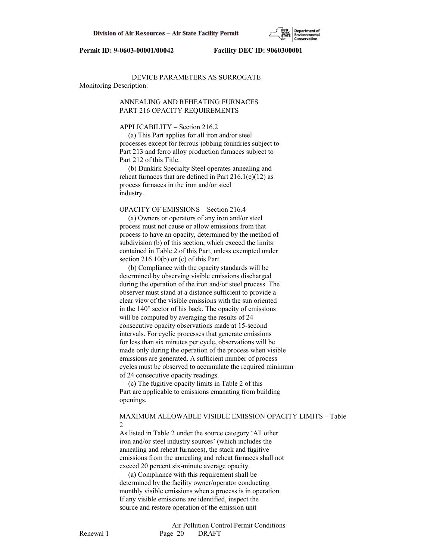

# DEVICE PARAMETERS AS SURROGATE Monitoring Description:

# ANNEALING AND REHEATING FURNACES PART 216 OPACITY REQUIREMENTS

#### APPLICABILITY – Section 216.2

 (a) This Part applies for all iron and/or steel processes except for ferrous jobbing foundries subject to Part 213 and ferro alloy production furnaces subject to Part 212 of this Title.

 (b) Dunkirk Specialty Steel operates annealing and reheat furnaces that are defined in Part  $216.1(e)(12)$  as process furnaces in the iron and/or steel industry.

# OPACITY OF EMISSIONS – Section 216.4

 (a) Owners or operators of any iron and/or steel process must not cause or allow emissions from that process to have an opacity, determined by the method of subdivision (b) of this section, which exceed the limits contained in Table 2 of this Part, unless exempted under section 216.10(b) or (c) of this Part.

 (b) Compliance with the opacity standards will be determined by observing visible emissions discharged during the operation of the iron and/or steel process. The observer must stand at a distance sufficient to provide a clear view of the visible emissions with the sun oriented in the 140° sector of his back. The opacity of emissions will be computed by averaging the results of 24 consecutive opacity observations made at 15-second intervals. For cyclic processes that generate emissions for less than six minutes per cycle, observations will be made only during the operation of the process when visible emissions are generated. A sufficient number of process cycles must be observed to accumulate the required minimum of 24 consecutive opacity readings.

 (c) The fugitive opacity limits in Table 2 of this Part are applicable to emissions emanating from building openings.

# MAXIMUM ALLOWABLE VISIBLE EMISSION OPACITY LIMITS – Table 2

 As listed in Table 2 under the source category 'All other iron and/or steel industry sources' (which includes the annealing and reheat furnaces), the stack and fugitive emissions from the annealing and reheat furnaces shall not exceed 20 percent six-minute average opacity.

 (a) Compliance with this requirement shall be determined by the facility owner/operator conducting monthly visible emissions when a process is in operation. If any visible emissions are identified, inspect the source and restore operation of the emission unit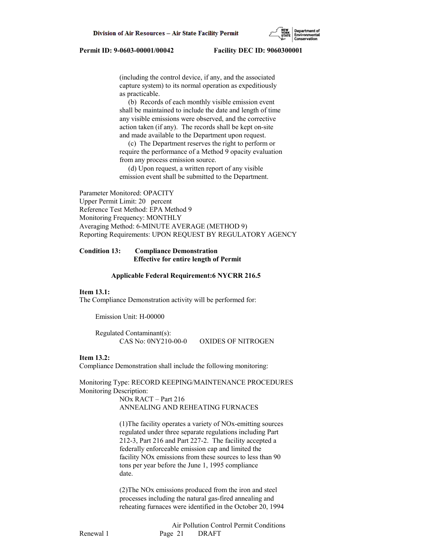(including the control device, if any, and the associated capture system) to its normal operation as expeditiously as practicable.

 (b) Records of each monthly visible emission event shall be maintained to include the date and length of time any visible emissions were observed, and the corrective action taken (if any). The records shall be kept on-site and made available to the Department upon request.

 (c) The Department reserves the right to perform or require the performance of a Method 9 opacity evaluation from any process emission source.

 (d) Upon request, a written report of any visible emission event shall be submitted to the Department.

Parameter Monitored: OPACITY Upper Permit Limit: 20 percent Reference Test Method: EPA Method 9 Monitoring Frequency: MONTHLY Averaging Method: 6-MINUTE AVERAGE (METHOD 9) Reporting Requirements: UPON REQUEST BY REGULATORY AGENCY

## **Condition 13: Compliance Demonstration Effective for entire length of Permit**

#### **Applicable Federal Requirement:6 NYCRR 216.5**

#### **Item 13.1:**

The Compliance Demonstration activity will be performed for:

Emission Unit: H-00000

 Regulated Contaminant(s): CAS No: 0NY210-00-0 OXIDES OF NITROGEN

## **Item 13.2:**

Compliance Demonstration shall include the following monitoring:

Monitoring Type: RECORD KEEPING/MAINTENANCE PROCEDURES Monitoring Description:

> NOx RACT – Part 216 ANNEALING AND REHEATING FURNACES

 (1)The facility operates a variety of NOx-emitting sources regulated under three separate regulations including Part 212-3, Part 216 and Part 227-2. The facility accepted a federally enforceable emission cap and limited the facility NOx emissions from these sources to less than 90 tons per year before the June 1, 1995 compliance date.

 (2)The NOx emissions produced from the iron and steel processes including the natural gas-fired annealing and reheating furnaces were identified in the October 20, 1994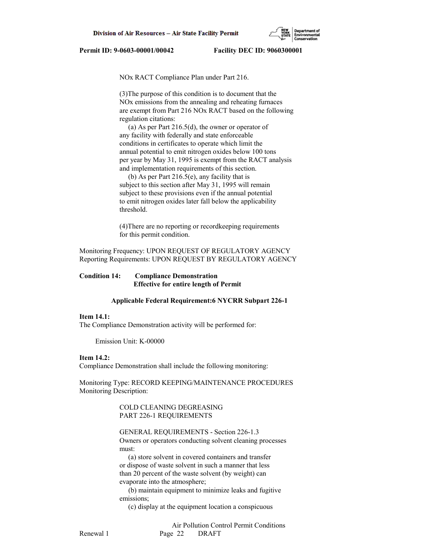NOx RACT Compliance Plan under Part 216.

 (3)The purpose of this condition is to document that the NOx emissions from the annealing and reheating furnaces are exempt from Part 216 NOx RACT based on the following regulation citations:

 (a) As per Part 216.5(d), the owner or operator of any facility with federally and state enforceable conditions in certificates to operate which limit the annual potential to emit nitrogen oxides below 100 tons per year by May 31, 1995 is exempt from the RACT analysis and implementation requirements of this section.

 (b) As per Part 216.5(e), any facility that is subject to this section after May 31, 1995 will remain subject to these provisions even if the annual potential to emit nitrogen oxides later fall below the applicability threshold.

 (4)There are no reporting or recordkeeping requirements for this permit condition.

Monitoring Frequency: UPON REQUEST OF REGULATORY AGENCY Reporting Requirements: UPON REQUEST BY REGULATORY AGENCY

## **Condition 14: Compliance Demonstration Effective for entire length of Permit**

#### **Applicable Federal Requirement:6 NYCRR Subpart 226-1**

#### **Item 14.1:**

The Compliance Demonstration activity will be performed for:

Emission Unit: K-00000

#### **Item 14.2:**

Compliance Demonstration shall include the following monitoring:

Monitoring Type: RECORD KEEPING/MAINTENANCE PROCEDURES Monitoring Description:

> COLD CLEANING DEGREASING PART 226-1 REQUIREMENTS

GENERAL REQUIREMENTS - Section 226-1.3

 Owners or operators conducting solvent cleaning processes must:

 (a) store solvent in covered containers and transfer or dispose of waste solvent in such a manner that less than 20 percent of the waste solvent (by weight) can evaporate into the atmosphere;

 (b) maintain equipment to minimize leaks and fugitive emissions;

(c) display at the equipment location a conspicuous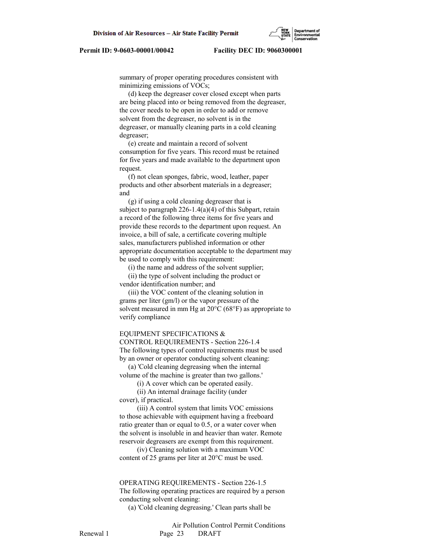summary of proper operating procedures consistent with minimizing emissions of VOCs;

 (d) keep the degreaser cover closed except when parts are being placed into or being removed from the degreaser, the cover needs to be open in order to add or remove solvent from the degreaser, no solvent is in the degreaser, or manually cleaning parts in a cold cleaning degreaser;

 (e) create and maintain a record of solvent consumption for five years. This record must be retained for five years and made available to the department upon request.

 (f) not clean sponges, fabric, wood, leather, paper products and other absorbent materials in a degreaser; and

 (g) if using a cold cleaning degreaser that is subject to paragraph 226-1.4(a)(4) of this Subpart, retain a record of the following three items for five years and provide these records to the department upon request. An invoice, a bill of sale, a certificate covering multiple sales, manufacturers published information or other appropriate documentation acceptable to the department may be used to comply with this requirement:

(i) the name and address of the solvent supplier;

 (ii) the type of solvent including the product or vendor identification number; and

 (iii) the VOC content of the cleaning solution in grams per liter (gm/l) or the vapor pressure of the solvent measured in mm Hg at 20°C (68°F) as appropriate to verify compliance

#### EQUIPMENT SPECIFICATIONS &

 CONTROL REQUIREMENTS - Section 226-1.4 The following types of control requirements must be used by an owner or operator conducting solvent cleaning:

 (a) 'Cold cleaning degreasing when the internal volume of the machine is greater than two gallons.'

(i) A cover which can be operated easily.

 (ii) An internal drainage facility (under cover), if practical.

 (iii) A control system that limits VOC emissions to those achievable with equipment having a freeboard ratio greater than or equal to 0.5, or a water cover when the solvent is insoluble in and heavier than water. Remote reservoir degreasers are exempt from this requirement.

 (iv) Cleaning solution with a maximum VOC content of 25 grams per liter at 20°C must be used.

# OPERATING REQUIREMENTS - Section 226-1.5 The following operating practices are required by a person conducting solvent cleaning:

(a) 'Cold cleaning degreasing.' Clean parts shall be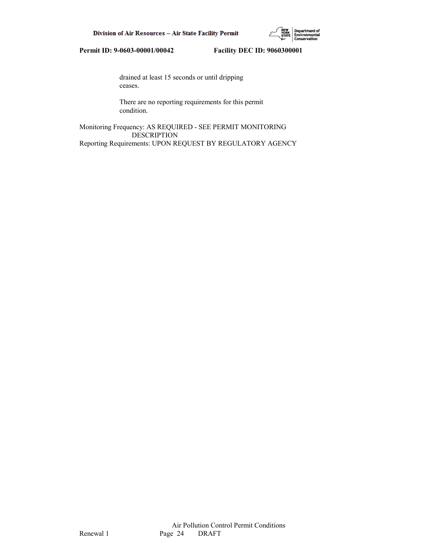

 drained at least 15 seconds or until dripping ceases.

 There are no reporting requirements for this permit condition.

Monitoring Frequency: AS REQUIRED - SEE PERMIT MONITORING DESCRIPTION Reporting Requirements: UPON REQUEST BY REGULATORY AGENCY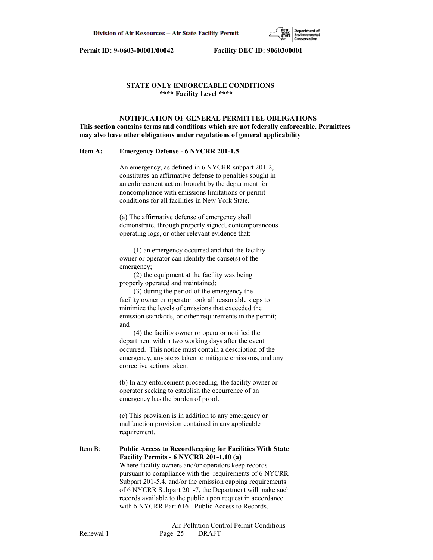

## **STATE ONLY ENFORCEABLE CONDITIONS \*\*\*\* Facility Level \*\*\*\***

# **NOTIFICATION OF GENERAL PERMITTEE OBLIGATIONS This section contains terms and conditions which are not federally enforceable. Permittees may also have other obligations under regulations of general applicability**

#### **Item A: Emergency Defense - 6 NYCRR 201-1.5**

 An emergency, as defined in 6 NYCRR subpart 201-2, constitutes an affirmative defense to penalties sought in an enforcement action brought by the department for noncompliance with emissions limitations or permit conditions for all facilities in New York State.

 (a) The affirmative defense of emergency shall demonstrate, through properly signed, contemporaneous operating logs, or other relevant evidence that:

 (1) an emergency occurred and that the facility owner or operator can identify the cause(s) of the emergency;

 (2) the equipment at the facility was being properly operated and maintained;

 (3) during the period of the emergency the facility owner or operator took all reasonable steps to minimize the levels of emissions that exceeded the emission standards, or other requirements in the permit; and

 (4) the facility owner or operator notified the department within two working days after the event occurred. This notice must contain a description of the emergency, any steps taken to mitigate emissions, and any corrective actions taken.

 (b) In any enforcement proceeding, the facility owner or operator seeking to establish the occurrence of an emergency has the burden of proof.

 (c) This provision is in addition to any emergency or malfunction provision contained in any applicable requirement.

Item B: **Public Access to Recordkeeping for Facilities With State Facility Permits - 6 NYCRR 201-1.10 (a)** Where facility owners and/or operators keep records pursuant to compliance with the requirements of 6 NYCRR Subpart 201-5.4, and/or the emission capping requirements of 6 NYCRR Subpart 201-7, the Department will make such records available to the public upon request in accordance with 6 NYCRR Part 616 - Public Access to Records.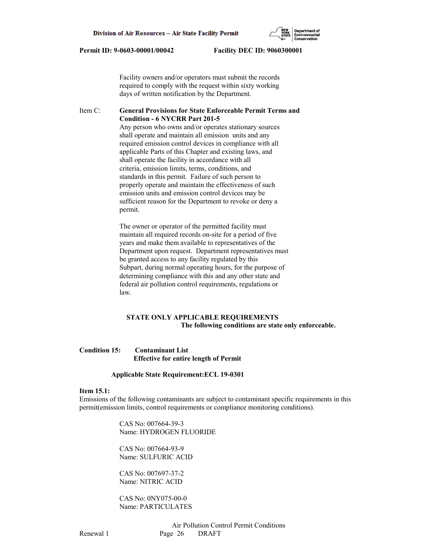Facility owners and/or operators must submit the records required to comply with the request within sixty working days of written notification by the Department.

# Item C: **General Provisions for State Enforceable Permit Terms and Condition - 6 NYCRR Part 201-5**

 Any person who owns and/or operates stationary sources shall operate and maintain all emission units and any required emission control devices in compliance with all applicable Parts of this Chapter and existing laws, and shall operate the facility in accordance with all criteria, emission limits, terms, conditions, and standards in this permit. Failure of such person to properly operate and maintain the effectiveness of such emission units and emission control devices may be sufficient reason for the Department to revoke or deny a permit.

 The owner or operator of the permitted facility must maintain all required records on-site for a period of five years and make them available to representatives of the Department upon request. Department representatives must be granted access to any facility regulated by this Subpart, during normal operating hours, for the purpose of determining compliance with this and any other state and federal air pollution control requirements, regulations or law.

## **STATE ONLY APPLICABLE REQUIREMENTS The following conditions are state only enforceable.**

# **Condition 15: Contaminant List Effective for entire length of Permit**

#### **Applicable State Requirement:ECL 19-0301**

### **Item 15.1:**

Emissions of the following contaminants are subject to contaminant specific requirements in this permit(emission limits, control requirements or compliance monitoring conditions).

> CAS No: 007664-39-3 Name: HYDROGEN FLUORIDE

 CAS No: 007664-93-9 Name: SULFURIC ACID

 CAS No: 007697-37-2 Name: NITRIC ACID

 CAS No: 0NY075-00-0 Name: PARTICULATES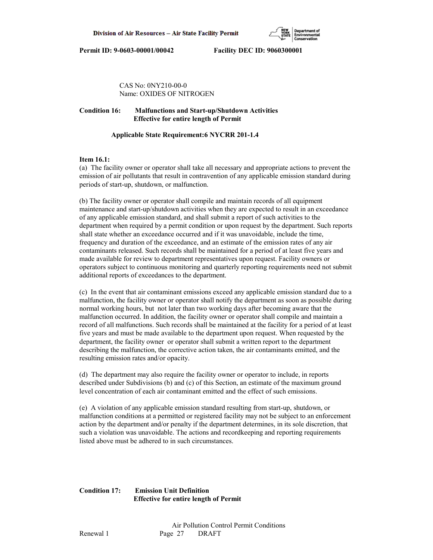CAS No: 0NY210-00-0 Name: OXIDES OF NITROGEN

# **Condition 16: Malfunctions and Start-up/Shutdown Activities Effective for entire length of Permit**

# **Applicable State Requirement:6 NYCRR 201-1.4**

# **Item 16.1:**

(a) The facility owner or operator shall take all necessary and appropriate actions to prevent the emission of air pollutants that result in contravention of any applicable emission standard during periods of start-up, shutdown, or malfunction.

(b) The facility owner or operator shall compile and maintain records of all equipment maintenance and start-up/shutdown activities when they are expected to result in an exceedance of any applicable emission standard, and shall submit a report of such activities to the department when required by a permit condition or upon request by the department. Such reports shall state whether an exceedance occurred and if it was unavoidable, include the time, frequency and duration of the exceedance, and an estimate of the emission rates of any air contaminants released. Such records shall be maintained for a period of at least five years and made available for review to department representatives upon request. Facility owners or operators subject to continuous monitoring and quarterly reporting requirements need not submit additional reports of exceedances to the department.

(c) In the event that air contaminant emissions exceed any applicable emission standard due to a malfunction, the facility owner or operator shall notify the department as soon as possible during normal working hours, but not later than two working days after becoming aware that the malfunction occurred. In addition, the facility owner or operator shall compile and maintain a record of all malfunctions. Such records shall be maintained at the facility for a period of at least five years and must be made available to the department upon request. When requested by the department, the facility owner or operator shall submit a written report to the department describing the malfunction, the corrective action taken, the air contaminants emitted, and the resulting emission rates and/or opacity.

(d) The department may also require the facility owner or operator to include, in reports described under Subdivisions (b) and (c) of this Section, an estimate of the maximum ground level concentration of each air contaminant emitted and the effect of such emissions.

(e) A violation of any applicable emission standard resulting from start-up, shutdown, or malfunction conditions at a permitted or registered facility may not be subject to an enforcement action by the department and/or penalty if the department determines, in its sole discretion, that such a violation was unavoidable. The actions and recordkeeping and reporting requirements listed above must be adhered to in such circumstances.

# **Condition 17: Emission Unit Definition Effective for entire length of Permit**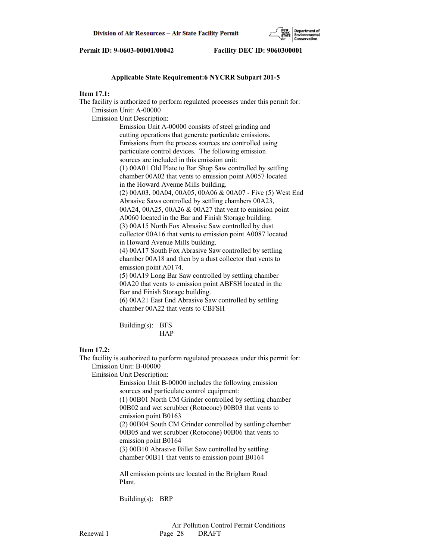

## **Applicable State Requirement:6 NYCRR Subpart 201-5**

# **Item 17.1:**

The facility is authorized to perform regulated processes under this permit for: Emission Unit: A-00000 Emission Unit Description: Emission Unit A-00000 consists of steel grinding and cutting operations that generate particulate emissions. Emissions from the process sources are controlled using particulate control devices. The following emission sources are included in this emission unit: (1) 00A01 Old Plate to Bar Shop Saw controlled by settling chamber 00A02 that vents to emission point A0057 located in the Howard Avenue Mills building. (2) 00A03, 00A04, 00A05, 00A06 & 00A07 - Five (5) West End Abrasive Saws controlled by settling chambers 00A23, 00A24, 00A25, 00A26 & 00A27 that vent to emission point A0060 located in the Bar and Finish Storage building. (3) 00A15 North Fox Abrasive Saw controlled by dust collector 00A16 that vents to emission point A0087 located in Howard Avenue Mills building. (4) 00A17 South Fox Abrasive Saw controlled by settling chamber 00A18 and then by a dust collector that vents to emission point A0174. (5) 00A19 Long Bar Saw controlled by settling chamber 00A20 that vents to emission point ABFSH located in the Bar and Finish Storage building. (6) 00A21 East End Abrasive Saw controlled by settling chamber 00A22 that vents to CBFSH Building(s): BFS **HAP** 

## **Item 17.2:**

The facility is authorized to perform regulated processes under this permit for: Emission Unit: B-00000 Emission Unit Description: Emission Unit B-00000 includes the following emission

 sources and particulate control equipment: (1) 00B01 North CM Grinder controlled by settling chamber 00B02 and wet scrubber (Rotocone) 00B03 that vents to emission point B0163 (2) 00B04 South CM Grinder controlled by settling chamber 00B05 and wet scrubber (Rotocone) 00B06 that vents to

 emission point B0164 (3) 00B10 Abrasive Billet Saw controlled by settling chamber 00B11 that vents to emission point B0164

 All emission points are located in the Brigham Road Plant.

Building(s): BRP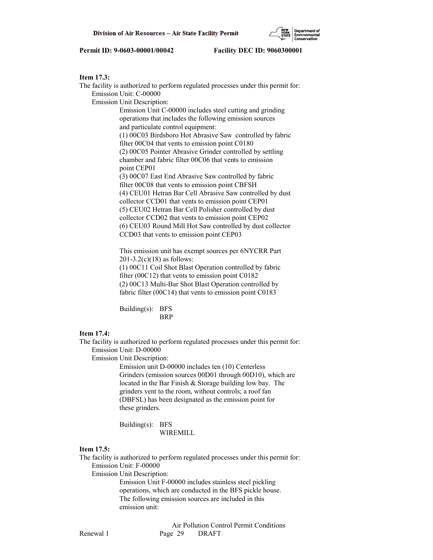# **Item 17.3:**

The facility is authorized to perform regulated processes under this permit for: Emission Unit: C-00000 Emission Unit Description: Emission Unit C-00000 includes steel cutting and grinding operations that includes the following emission sources and particulate control equipment: (1) 00C03 Birdsboro Hot Abrasive Saw controlled by fabric filter 00C04 that vents to emission point C0180 (2) 00C05 Pointer Abrasive Grinder controlled by settling chamber and fabric filter 00C06 that vents to emission point CEP01 (3) 00C07 East End Abrasive Saw controlled by fabric filter 00C08 that vents to emission point CBFSH (4) CEU01 Hetran Bar Cell Abrasive Saw controlled by dust collector CCD01 that vents to emission point CEP01 (5) CEU02 Hetran Bar Cell Polisher controlled by dust collector CCD02 that vents to emission point CEP02 (6) CEU03 Round Mill Hot Saw controlled by dust collector CCD03 that vents to emission point CEP03 This emission unit has exempt sources per 6NYCRR Part

 201-3.2(c)(18) as follows: (1) 00C11 Coil Shot Blast Operation controlled by fabric filter (00C12) that vents to emission point C0182 (2) 00C13 Multi-Bar Shot Blast Operation controlled by fabric filter (00C14) that vents to emission point C0183

 Building(s): BFS BRP

#### **Item 17.4:**

The facility is authorized to perform regulated processes under this permit for: Emission Unit: D-00000

Emission Unit Description:

 Emission unit D-00000 includes ten (10) Centerless Grinders (emission sources 00D01 through 00D10), which are located in the Bar Finish & Storage building low bay. The grinders vent to the room, without controls; a roof fan (DBFSL) has been designated as the emission point for these grinders.

 Building(s): BFS WIREMILL

#### **Item 17.5:**

The facility is authorized to perform regulated processes under this permit for: Emission Unit: F-00000

Emission Unit Description:

 Emission Unit F-00000 includes stainless steel pickling operations, which are conducted in the BFS pickle house. The following emission sources are included in this emission unit: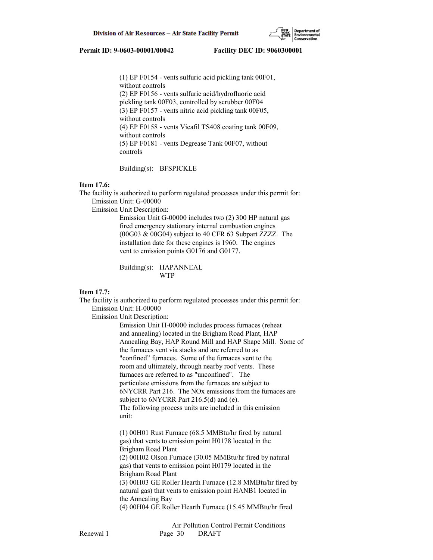

 (1) EP F0154 - vents sulfuric acid pickling tank 00F01, without controls (2) EP F0156 - vents sulfuric acid/hydrofluoric acid pickling tank 00F03, controlled by scrubber 00F04 (3) EP F0157 - vents nitric acid pickling tank 00F05, without controls (4) EP F0158 - vents Vicafil TS408 coating tank 00F09, without controls (5) EP F0181 - vents Degrease Tank 00F07, without controls

Building(s): BFSPICKLE

### **Item 17.6:**

The facility is authorized to perform regulated processes under this permit for: Emission Unit: G-00000

Emission Unit Description:

 Emission Unit G-00000 includes two (2) 300 HP natural gas fired emergency stationary internal combustion engines (00G03 & 00G04) subject to 40 CFR 63 Subpart ZZZZ. The installation date for these engines is 1960. The engines vent to emission points G0176 and G0177.

 Building(s): HAPANNEAL WTP

# **Item 17.7:**

The facility is authorized to perform regulated processes under this permit for: Emission Unit: H-00000

Emission Unit Description:

 Emission Unit H-00000 includes process furnaces (reheat and annealing) located in the Brigham Road Plant, HAP Annealing Bay, HAP Round Mill and HAP Shape Mill. Some of the furnaces vent via stacks and are referred to as "confined" furnaces. Some of the furnaces vent to the room and ultimately, through nearby roof vents. These furnaces are referred to as "unconfined". The particulate emissions from the furnaces are subject to 6NYCRR Part 216. The NOx emissions from the furnaces are subject to 6NYCRR Part 216.5(d) and (e). The following process units are included in this emission unit:

 (1) 00H01 Rust Furnace (68.5 MMBtu/hr fired by natural gas) that vents to emission point H0178 located in the Brigham Road Plant (2) 00H02 Olson Furnace (30.05 MMBtu/hr fired by natural gas) that vents to emission point H0179 located in the Brigham Road Plant (3) 00H03 GE Roller Hearth Furnace (12.8 MMBtu/hr fired by natural gas) that vents to emission point HANB1 located in the Annealing Bay (4) 00H04 GE Roller Hearth Furnace (15.45 MMBtu/hr fired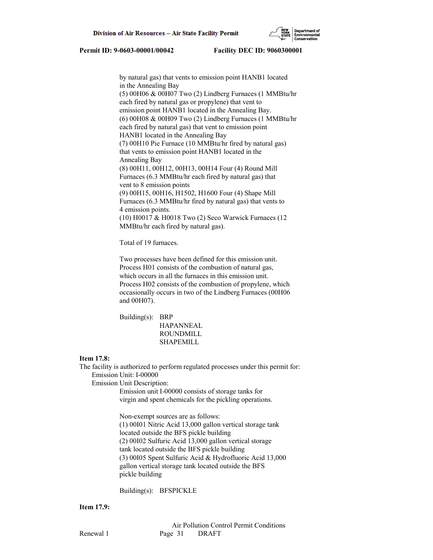

 by natural gas) that vents to emission point HANB1 located in the Annealing Bay (5) 00H06 & 00H07 Two (2) Lindberg Furnaces (1 MMBtu/hr each fired by natural gas or propylene) that vent to emission point HANB1 located in the Annealing Bay. (6) 00H08 & 00H09 Two (2) Lindberg Furnaces (1 MMBtu/hr each fired by natural gas) that vent to emission point HANB1 located in the Annealing Bay (7) 00H10 Pie Furnace (10 MMBtu/hr fired by natural gas) that vents to emission point HANB1 located in the Annealing Bay (8) 00H11, 00H12, 00H13, 00H14 Four (4) Round Mill Furnaces (6.3 MMBtu/hr each fired by natural gas) that vent to 8 emission points (9) 00H15, 00H16, H1502, H1600 Four (4) Shape Mill Furnaces (6.3 MMBtu/hr fired by natural gas) that vents to 4 emission points. (10) H0017 & H0018 Two (2) Seco Warwick Furnaces (12 MMBtu/hr each fired by natural gas).

Total of 19 furnaces.

 Two processes have been defined for this emission unit. Process H01 consists of the combustion of natural gas, which occurs in all the furnaces in this emission unit. Process H02 consists of the combustion of propylene, which occasionally occurs in two of the Lindberg Furnaces (00H06 and 00H07).

 Building(s): BRP HAPANNEAL ROUNDMILL SHAPEMILL

#### **Item 17.8:**

The facility is authorized to perform regulated processes under this permit for: Emission Unit: I-00000

Emission Unit Description:

 Emission unit I-00000 consists of storage tanks for virgin and spent chemicals for the pickling operations.

 Non-exempt sources are as follows: (1) 00I01 Nitric Acid 13,000 gallon vertical storage tank located outside the BFS pickle building (2) 00I02 Sulfuric Acid 13,000 gallon vertical storage tank located outside the BFS pickle building (3) 00I05 Spent Sulfuric Acid & Hydrofluoric Acid 13,000 gallon vertical storage tank located outside the BFS pickle building

Building(s): BFSPICKLE

#### **Item 17.9:**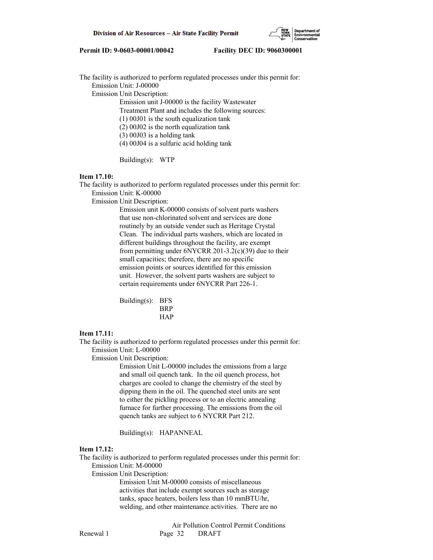

The facility is authorized to perform regulated processes under this permit for: Emission Unit: J-00000 Emission Unit Description: Emission unit J-00000 is the facility Wastewater Treatment Plant and includes the following sources: (1) 00J01 is the south equalization tank (2) 00J02 is the north equalization tank (3) 00J03 is a holding tank (4) 00J04 is a sulfuric acid holding tank

Building(s): WTP

## **Item 17.10:**

The facility is authorized to perform regulated processes under this permit for: Emission Unit: K-00000

Emission Unit Description:

 Emission unit K-00000 consists of solvent parts washers that use non-chlorinated solvent and services are done routinely by an outside vender such as Heritage Crystal Clean. The individual parts washers, which are located in different buildings throughout the facility, are exempt from permitting under 6NYCRR 201-3.2(c)(39) due to their small capacities; therefore, there are no specific emission points or sources identified for this emission unit. However, the solvent parts washers are subject to certain requirements under 6NYCRR Part 226-1.

 Building(s): BFS BRP HAP

#### **Item 17.11:**

The facility is authorized to perform regulated processes under this permit for: Emission Unit: L-00000

Emission Unit Description:

 Emission Unit L-00000 includes the emissions from a large and small oil quench tank. In the oil quench process, hot charges are cooled to change the chemistry of the steel by dipping them in the oil. The quenched steel units are sent to either the pickling process or to an electric annealing furnace for further processing. The emissions from the oil quench tanks are subject to 6 NYCRR Part 212.

Building(s): HAPANNEAL

#### **Item 17.12:**

The facility is authorized to perform regulated processes under this permit for: Emission Unit: M-00000

Emission Unit Description:

 Emission Unit M-00000 consists of miscellaneous activities that include exempt sources such as storage tanks, space heaters, boilers less than 10 mmBTU/hr, welding, and other maintenance activities. There are no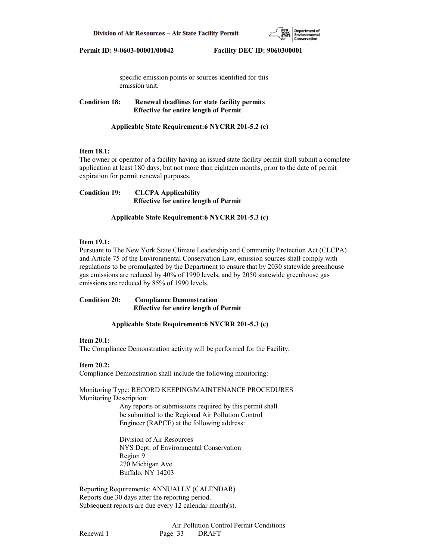

 specific emission points or sources identified for this emission unit.

**Condition 18: Renewal deadlines for state facility permits Effective for entire length of Permit**

 **Applicable State Requirement:6 NYCRR 201-5.2 (c)**

## **Item 18.1:**

The owner or operator of a facility having an issued state facility permit shall submit a complete application at least 180 days, but not more than eighteen months, prior to the date of permit expiration for permit renewal purposes.

**Condition 19: CLCPA Applicability Effective for entire length of Permit**

 **Applicable State Requirement:6 NYCRR 201-5.3 (c)**

# **Item 19.1:**

Pursuant to The New York State Climate Leadership and Community Protection Act (CLCPA) and Article 75 of the Environmental Conservation Law, emission sources shall comply with regulations to be promulgated by the Department to ensure that by 2030 statewide greenhouse gas emissions are reduced by 40% of 1990 levels, and by 2050 statewide greenhouse gas emissions are reduced by 85% of 1990 levels.

## **Condition 20: Compliance Demonstration Effective for entire length of Permit**

#### **Applicable State Requirement:6 NYCRR 201-5.3 (c)**

## **Item 20.1:**

The Compliance Demonstration activity will be performed for the Facility.

### **Item 20.2:**

Compliance Demonstration shall include the following monitoring:

Monitoring Type: RECORD KEEPING/MAINTENANCE PROCEDURES Monitoring Description:

> Any reports or submissions required by this permit shall be submitted to the Regional Air Pollution Control Engineer (RAPCE) at the following address:

 Division of Air Resources NYS Dept. of Environmental Conservation Region 9 270 Michigan Ave. Buffalo, NY 14203

Reporting Requirements: ANNUALLY (CALENDAR) Reports due 30 days after the reporting period. Subsequent reports are due every 12 calendar month(s).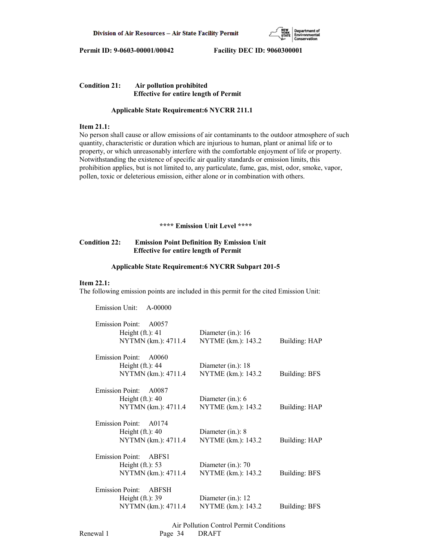

# **Condition 21: Air pollution prohibited Effective for entire length of Permit**

### **Applicable State Requirement:6 NYCRR 211.1**

## **Item 21.1:**

No person shall cause or allow emissions of air contaminants to the outdoor atmosphere of such quantity, characteristic or duration which are injurious to human, plant or animal life or to property, or which unreasonably interfere with the comfortable enjoyment of life or property. Notwithstanding the existence of specific air quality standards or emission limits, this prohibition applies, but is not limited to, any particulate, fume, gas, mist, odor, smoke, vapor, pollen, toxic or deleterious emission, either alone or in combination with others.

 **\*\*\*\* Emission Unit Level \*\*\*\***

# **Condition 22: Emission Point Definition By Emission Unit Effective for entire length of Permit**

#### **Applicable State Requirement:6 NYCRR Subpart 201-5**

#### **Item 22.1:**

The following emission points are included in this permit for the cited Emission Unit:

| Emission Unit:<br>$A - 00000$                          |                      |                      |
|--------------------------------------------------------|----------------------|----------------------|
| <b>Emission Point:</b><br>A0057<br>Height $(ft.)$ : 41 | Diameter (in.): 16   |                      |
| NYTMN (km.): 4711.4                                    | NYTME (km.): 143.2   | Building: HAP        |
| <b>Emission Point:</b><br>A0060                        |                      |                      |
| Height $(ft.)$ : 44                                    | Diameter (in.): 18   |                      |
| NYTMN (km.): 4711.4                                    | NYTME (km.): 143.2   | <b>Building: BFS</b> |
|                                                        |                      |                      |
| <b>Emission Point:</b><br>A0087                        |                      |                      |
| Height $(ft.)$ : 40                                    | Diameter $(in.)$ : 6 |                      |
| NYTMN (km.): 4711.4                                    | NYTME (km.): 143.2   | Building: HAP        |
| <b>Emission Point:</b><br>A0174                        |                      |                      |
| Height $(ft.)$ : 40                                    | Diameter (in.): 8    |                      |
| NYTMN (km.): 4711.4                                    | NYTME (km.): 143.2   | Building: HAP        |
|                                                        |                      |                      |
| <b>Emission Point:</b><br>ABFS1                        |                      |                      |
| Height $(ft.): 53$                                     | Diameter (in.): 70   |                      |
| NYTMN (km.): 4711.4                                    | NYTME (km.): 143.2   | <b>Building: BFS</b> |
| <b>Emission Point:</b><br><b>ABFSH</b>                 |                      |                      |
| Height $(ft.)$ : 39                                    | Diameter (in.): 12   |                      |
| NYTMN (km.): 4711.4                                    | NYTME (km.): 143.2   | <b>Building: BFS</b> |
|                                                        |                      |                      |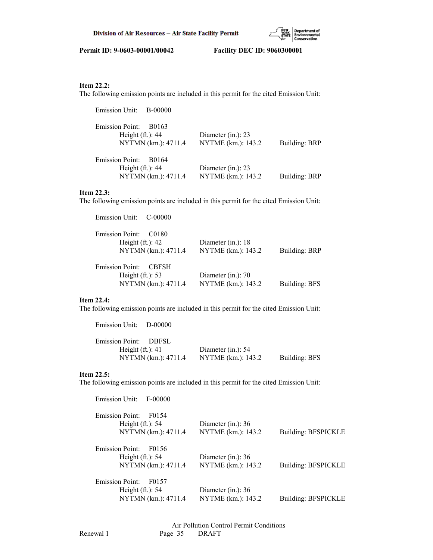

# **Item 22.2:**

The following emission points are included in this permit for the cited Emission Unit:

| Emission Unit: B-00000                                                                     |                                             |                      |
|--------------------------------------------------------------------------------------------|---------------------------------------------|----------------------|
| <b>Emission Point:</b><br>B0163<br>Height $(ft.)$ : 44<br>NYTMN (km.): 4711.4              | Diameter $(in.)$ : 23<br>NYTME (km.): 143.2 | <b>Building: BRP</b> |
| <b>Emission Point:</b><br>B <sub>0</sub> 164<br>Height $(ft.)$ : 44<br>NYTMN (km.): 4711.4 | Diameter (in.): 23<br>NYTME (km.): 143.2    | <b>Building: BRP</b> |

# **Item 22.3:**

The following emission points are included in this permit for the cited Emission Unit:

| Emission Unit: C-00000                                             |                      |                      |
|--------------------------------------------------------------------|----------------------|----------------------|
| <b>Emission Point:</b><br>C <sub>0180</sub><br>Height $(ft.)$ : 42 | Diameter (in.): $18$ |                      |
| NYTMN (km.): 4711.4                                                | NYTME (km.): 143.2   | Building: BRP        |
| <b>Emission Point:</b><br><b>CBFSH</b>                             |                      |                      |
| Height $(ft.): 53$                                                 | Diameter (in.): $70$ |                      |
| NYTMN (km.): 4711.4                                                | NYTME (km.): 143.2   | <b>Building: BFS</b> |

## **Item 22.4:**

The following emission points are included in this permit for the cited Emission Unit:

| Emission Unit: D-00000 |                     |                       |               |
|------------------------|---------------------|-----------------------|---------------|
| Emission Point: DBFSL  |                     |                       |               |
| Height $(ft.): 41$     |                     | Diameter $(in.)$ : 54 |               |
|                        | NYTMN (km.): 4711.4 | NYTME (km.): 143.2    | Building: BFS |

# **Item 22.5:**

The following emission points are included in this permit for the cited Emission Unit:

| Emission Unit:<br>F-00000       |                      |                            |
|---------------------------------|----------------------|----------------------------|
| Emission Point:<br>F0154        |                      |                            |
| Height $(ft.)$ : 54             | Diameter (in.): $36$ |                            |
| NYTMN (km.): 4711.4             | NYTME (km.): 143.2   | Building: BFSPICKLE        |
| <b>Emission Point:</b><br>F0156 |                      |                            |
| Height $(ft.): 54$              | Diameter (in.): $36$ |                            |
| NYTMN (km.): 4711.4             | NYTME (km.): 143.2   | Building: BFSPICKLE        |
| <b>Emission Point:</b><br>F0157 |                      |                            |
| Height $(ft.)$ : 54             | Diameter (in.): $36$ |                            |
| NYTMN (km.): 4711.4             | NYTME (km.): 143.2   | <b>Building: BFSPICKLE</b> |
|                                 |                      |                            |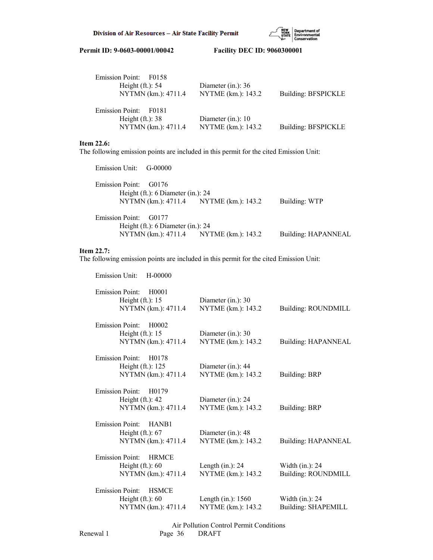

| Emission Point: F0158<br>Height $(ft.)$ : 54<br>NYTMN (km.): 4711.4          | Diameter (in.): $36$<br>NYTME (km.): 143.2 | <b>Building: BFSPICKLE</b> |
|------------------------------------------------------------------------------|--------------------------------------------|----------------------------|
| <b>Emission Point:</b><br>F0181<br>Height $(ft.): 38$<br>NYTMN (km.): 4711.4 | Diameter (in.): $10$<br>NYTME (km.): 143.2 | <b>Building: BFSPICKLE</b> |

## **Item 22.6:**

The following emission points are included in this permit for the cited Emission Unit:

| Emission Unit: G-00000 |                                      |                                        |                            |
|------------------------|--------------------------------------|----------------------------------------|----------------------------|
| Emission Point: G0176  |                                      |                                        |                            |
|                        | Height (ft.): $6$ Diameter (in.): 24 |                                        |                            |
|                        |                                      | NYTMN (km.): 4711.4 NYTME (km.): 143.2 | Building: WTP              |
| Emission Point: G0177  |                                      |                                        |                            |
|                        | Height (ft.): 6 Diameter (in.): 24   |                                        |                            |
|                        |                                      | NYTMN (km.): 4711.4 NYTME (km.): 143.2 | <b>Building: HAPANNEAL</b> |

# **Item 22.7:**

Emission Unit: H-00000

The following emission points are included in this permit for the cited Emission Unit:

| <b>Emission Point:</b><br>H0001<br>Height $(ft.): 15$<br>NYTMN (km.): 4711.4                | Diameter (in.): 30<br>NYTME (km.): 143.2    | <b>Building: ROUNDMILL</b>                       |
|---------------------------------------------------------------------------------------------|---------------------------------------------|--------------------------------------------------|
| <b>Emission Point:</b><br>H <sub>0</sub> 002<br>Height $(ft.)$ : 15<br>NYTMN (km.): 4711.4  | Diameter (in.): 30<br>NYTME (km.): 143.2    | <b>Building: HAPANNEAL</b>                       |
| <b>Emission Point:</b><br>H <sub>0</sub> 178<br>Height $(ft.)$ : 125<br>NYTMN (km.): 4711.4 | Diameter (in.): 44<br>NYTME (km.): 143.2    | <b>Building: BRP</b>                             |
| <b>Emission Point:</b><br>H <sub>0</sub> 179<br>Height $(ft.)$ : 42<br>NYTMN (km.): 4711.4  | Diameter (in.): 24<br>NYTME (km.): 143.2    | <b>Building: BRP</b>                             |
| <b>Emission Point:</b><br>HANB1<br>Height $(ft.): 67$<br>NYTMN (km.): 4711.4                | Diameter (in.): 48<br>NYTME (km.): 143.2    | <b>Building: HAPANNEAL</b>                       |
| <b>Emission Point:</b><br><b>HRMCE</b><br>Height $(ft.): 60$<br>NYTMN (km.): 4711.4         | Length $(in.)$ : 24<br>NYTME (km.): 143.2   | Width $(in.)$ : 24<br><b>Building: ROUNDMILL</b> |
| <b>Emission Point:</b><br><b>HSMCE</b><br>Height $(ft.): 60$<br>NYTMN (km.): 4711.4         | Length $(in.)$ : 1560<br>NYTME (km.): 143.2 | Width $(in.)$ : 24<br><b>Building: SHAPEMILL</b> |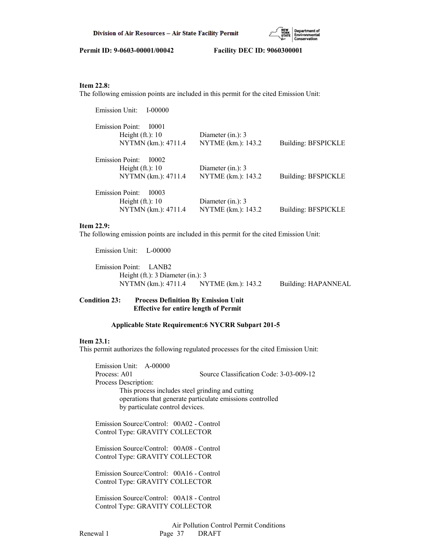

## **Item 22.8:**

The following emission points are included in this permit for the cited Emission Unit:

| Emission Unit:<br>I-00000              |                      |                            |
|----------------------------------------|----------------------|----------------------------|
| <b>Emission Point:</b><br>10001        |                      |                            |
| Height $(ft.)$ : 10                    | Diameter $(in.)$ : 3 |                            |
| NYTMN (km.): 4711.4                    | NYTME (km.): 143.2   | <b>Building: BFSPICKLE</b> |
| <b>Emission Point:</b><br><b>I0002</b> |                      |                            |
| Height $(ft.)$ : 10                    | Diameter $(in.)$ : 3 |                            |
| NYTMN (km.): 4711.4                    | NYTME (km.): 143.2   | <b>Building: BFSPICKLE</b> |
| <b>Emission Point:</b><br>10003        |                      |                            |
| Height $(ft.)$ : 10                    | Diameter $(in.)$ : 3 |                            |
| NYTMN (km.): 4711.4                    | NYTME (km.): 143.2   | Building: BFSPICKLE        |

# **Item 22.9:**

The following emission points are included in this permit for the cited Emission Unit:

Emission Unit: L-00000

 Emission Point: LANB2 Height (ft.): 3 Diameter (in.): 3 NYTMN (km.): 4711.4 NYTME (km.): 143.2 Building: HAPANNEAL

# **Condition 23: Process Definition By Emission Unit Effective for entire length of Permit**

#### **Applicable State Requirement:6 NYCRR Subpart 201-5**

## **Item 23.1:**

This permit authorizes the following regulated processes for the cited Emission Unit:

 Emission Unit: A-00000 Process: A01 Source Classification Code: 3-03-009-12 Process Description: This process includes steel grinding and cutting operations that generate particulate emissions controlled by particulate control devices.

 Emission Source/Control: 00A02 - Control Control Type: GRAVITY COLLECTOR

 Emission Source/Control: 00A08 - Control Control Type: GRAVITY COLLECTOR

 Emission Source/Control: 00A16 - Control Control Type: GRAVITY COLLECTOR

 Emission Source/Control: 00A18 - Control Control Type: GRAVITY COLLECTOR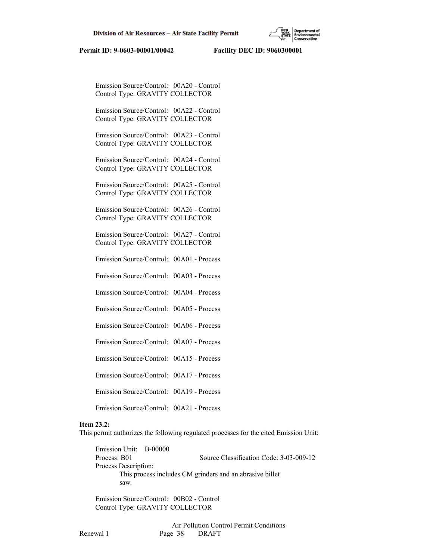Emission Source/Control: 00A20 - Control Control Type: GRAVITY COLLECTOR

 Emission Source/Control: 00A22 - Control Control Type: GRAVITY COLLECTOR

 Emission Source/Control: 00A23 - Control Control Type: GRAVITY COLLECTOR

 Emission Source/Control: 00A24 - Control Control Type: GRAVITY COLLECTOR

 Emission Source/Control: 00A25 - Control Control Type: GRAVITY COLLECTOR

 Emission Source/Control: 00A26 - Control Control Type: GRAVITY COLLECTOR

 Emission Source/Control: 00A27 - Control Control Type: GRAVITY COLLECTOR

Emission Source/Control: 00A01 - Process

Emission Source/Control: 00A03 - Process

Emission Source/Control: 00A04 - Process

Emission Source/Control: 00A05 - Process

Emission Source/Control: 00A06 - Process

Emission Source/Control: 00A07 - Process

Emission Source/Control: 00A15 - Process

Emission Source/Control: 00A17 - Process

Emission Source/Control: 00A19 - Process

Emission Source/Control: 00A21 - Process

# **Item 23.2:**

This permit authorizes the following regulated processes for the cited Emission Unit:

 Emission Unit: B-00000 Process: B01 Source Classification Code: 3-03-009-12 Process Description: This process includes CM grinders and an abrasive billet saw.

 Emission Source/Control: 00B02 - Control Control Type: GRAVITY COLLECTOR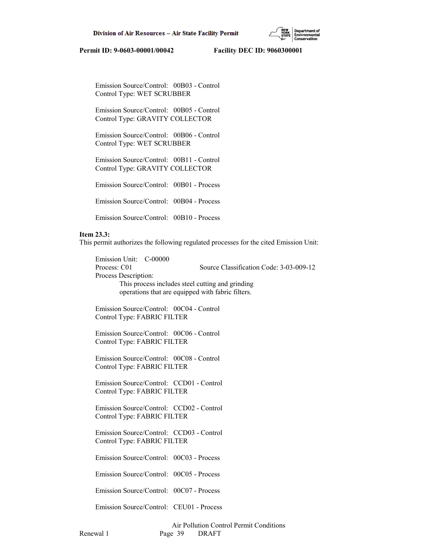

 Emission Source/Control: 00B03 - Control Control Type: WET SCRUBBER

 Emission Source/Control: 00B05 - Control Control Type: GRAVITY COLLECTOR

 Emission Source/Control: 00B06 - Control Control Type: WET SCRUBBER

 Emission Source/Control: 00B11 - Control Control Type: GRAVITY COLLECTOR

Emission Source/Control: 00B01 - Process

Emission Source/Control: 00B04 - Process

Emission Source/Control: 00B10 - Process

#### **Item 23.3:**

This permit authorizes the following regulated processes for the cited Emission Unit:

 Emission Unit: C-00000 Process: C01 Source Classification Code: 3-03-009-12 Process Description: This process includes steel cutting and grinding operations that are equipped with fabric filters.

 Emission Source/Control: 00C04 - Control Control Type: FABRIC FILTER

 Emission Source/Control: 00C06 - Control Control Type: FABRIC FILTER

 Emission Source/Control: 00C08 - Control Control Type: FABRIC FILTER

 Emission Source/Control: CCD01 - Control Control Type: FABRIC FILTER

 Emission Source/Control: CCD02 - Control Control Type: FABRIC FILTER

 Emission Source/Control: CCD03 - Control Control Type: FABRIC FILTER

Emission Source/Control: 00C03 - Process

Emission Source/Control: 00C05 - Process

Emission Source/Control: 00C07 - Process

Emission Source/Control: CEU01 - Process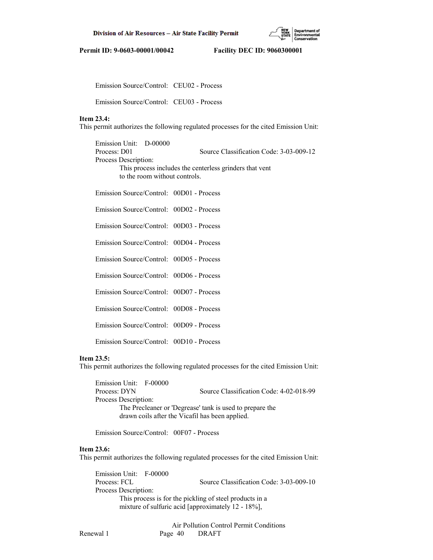

Emission Source/Control: CEU02 - Process

Emission Source/Control: CEU03 - Process

# **Item 23.4:**

This permit authorizes the following regulated processes for the cited Emission Unit:

 Emission Unit: D-00000 Process: D01 Source Classification Code: 3-03-009-12 Process Description: This process includes the centerless grinders that vent to the room without controls.

Emission Source/Control: 00D01 - Process

Emission Source/Control: 00D02 - Process

Emission Source/Control: 00D03 - Process

Emission Source/Control: 00D04 - Process

Emission Source/Control: 00D05 - Process

Emission Source/Control: 00D06 - Process

Emission Source/Control: 00D07 - Process

Emission Source/Control: 00D08 - Process

Emission Source/Control: 00D09 - Process

Emission Source/Control: 00D10 - Process

## **Item 23.5:**

This permit authorizes the following regulated processes for the cited Emission Unit:

 Emission Unit: F-00000 Process: DYN Source Classification Code: 4-02-018-99 Process Description: The Precleaner or 'Degrease' tank is used to prepare the drawn coils after the Vicafil has been applied.

Emission Source/Control: 00F07 - Process

#### **Item 23.6:**

This permit authorizes the following regulated processes for the cited Emission Unit:

 Emission Unit: F-00000 Process: FCL Source Classification Code: 3-03-009-10 Process Description: This process is for the pickling of steel products in a mixture of sulfuric acid [approximately 12 - 18%],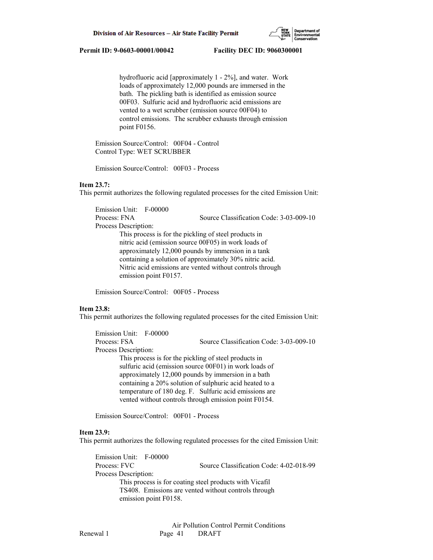

 hydrofluoric acid [approximately 1 - 2%], and water. Work loads of approximately 12,000 pounds are immersed in the bath. The pickling bath is identified as emission source 00F03. Sulfuric acid and hydrofluoric acid emissions are vented to a wet scrubber (emission source 00F04) to control emissions. The scrubber exhausts through emission point F0156.

 Emission Source/Control: 00F04 - Control Control Type: WET SCRUBBER

Emission Source/Control: 00F03 - Process

### **Item 23.7:**

This permit authorizes the following regulated processes for the cited Emission Unit:

 Emission Unit: F-00000 Process: FNA Source Classification Code: 3-03-009-10 Process Description: This process is for the pickling of steel products in nitric acid (emission source 00F05) in work loads of approximately 12,000 pounds by immersion in a tank containing a solution of approximately 30% nitric acid. Nitric acid emissions are vented without controls through emission point F0157.

Emission Source/Control: 00F05 - Process

## **Item 23.8:**

This permit authorizes the following regulated processes for the cited Emission Unit:

 Emission Unit: F-00000 Process: FSA Source Classification Code: 3-03-009-10 Process Description: This process is for the pickling of steel products in sulfuric acid (emission source 00F01) in work loads of approximately 12,000 pounds by immersion in a bath containing a 20% solution of sulphuric acid heated to a temperature of 180 deg. F. Sulfuric acid emissions are vented without controls through emission point F0154.

Emission Source/Control: 00F01 - Process

#### **Item 23.9:**

This permit authorizes the following regulated processes for the cited Emission Unit:

 Emission Unit: F-00000 Process: FVC Source Classification Code: 4-02-018-99 Process Description: This process is for coating steel products with Vicafil TS408. Emissions are vented without controls through emission point F0158.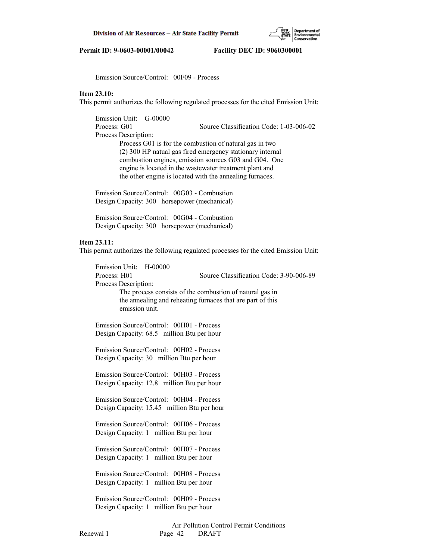Emission Source/Control: 00F09 - Process

# **Item 23.10:**

This permit authorizes the following regulated processes for the cited Emission Unit:

 Emission Unit: G-00000 Process: G01 Source Classification Code: 1-03-006-02 Process Description: Process G01 is for the combustion of natural gas in two (2) 300 HP natual gas fired emergency stationary internal combustion engines, emission sources G03 and G04. One engine is located in the wastewater treatment plant and the other engine is located with the annealing furnaces.

 Emission Source/Control: 00G03 - Combustion Design Capacity: 300 horsepower (mechanical)

 Emission Source/Control: 00G04 - Combustion Design Capacity: 300 horsepower (mechanical)

#### **Item 23.11:**

This permit authorizes the following regulated processes for the cited Emission Unit:

 Emission Unit: H-00000 Process: H01 Source Classification Code: 3-90-006-89 Process Description: The process consists of the combustion of natural gas in the annealing and reheating furnaces that are part of this emission unit.

 Emission Source/Control: 00H01 - Process Design Capacity: 68.5 million Btu per hour

 Emission Source/Control: 00H02 - Process Design Capacity: 30 million Btu per hour

 Emission Source/Control: 00H03 - Process Design Capacity: 12.8 million Btu per hour

 Emission Source/Control: 00H04 - Process Design Capacity: 15.45 million Btu per hour

 Emission Source/Control: 00H06 - Process Design Capacity: 1 million Btu per hour

 Emission Source/Control: 00H07 - Process Design Capacity: 1 million Btu per hour

 Emission Source/Control: 00H08 - Process Design Capacity: 1 million Btu per hour

 Emission Source/Control: 00H09 - Process Design Capacity: 1 million Btu per hour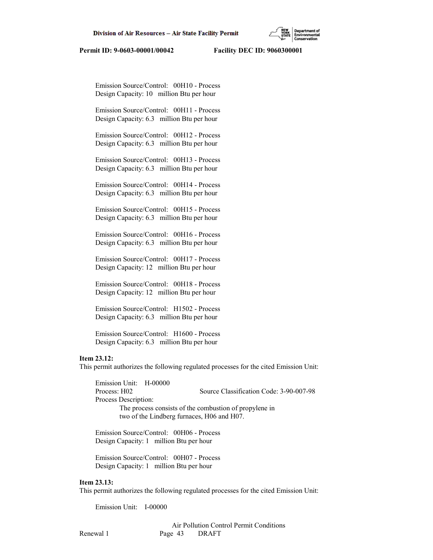Emission Source/Control: 00H10 - Process Design Capacity: 10 million Btu per hour

 Emission Source/Control: 00H11 - Process Design Capacity: 6.3 million Btu per hour

 Emission Source/Control: 00H12 - Process Design Capacity: 6.3 million Btu per hour

 Emission Source/Control: 00H13 - Process Design Capacity: 6.3 million Btu per hour

 Emission Source/Control: 00H14 - Process Design Capacity: 6.3 million Btu per hour

 Emission Source/Control: 00H15 - Process Design Capacity: 6.3 million Btu per hour

 Emission Source/Control: 00H16 - Process Design Capacity: 6.3 million Btu per hour

 Emission Source/Control: 00H17 - Process Design Capacity: 12 million Btu per hour

 Emission Source/Control: 00H18 - Process Design Capacity: 12 million Btu per hour

 Emission Source/Control: H1502 - Process Design Capacity: 6.3 million Btu per hour

 Emission Source/Control: H1600 - Process Design Capacity: 6.3 million Btu per hour

#### **Item 23.12:**

This permit authorizes the following regulated processes for the cited Emission Unit:

 Emission Unit: H-00000 Process: H02 Source Classification Code: 3-90-007-98 Process Description: The process consists of the combustion of propylene in two of the Lindberg furnaces, H06 and H07.

 Emission Source/Control: 00H06 - Process Design Capacity: 1 million Btu per hour

 Emission Source/Control: 00H07 - Process Design Capacity: 1 million Btu per hour

# **Item 23.13:**

This permit authorizes the following regulated processes for the cited Emission Unit:

Emission Unit: I-00000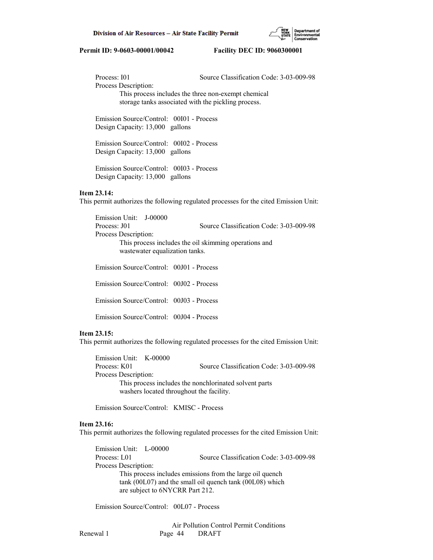

Process: 101 Source Classification Code: 3-03-009-98 Process Description: This process includes the three non-exempt chemical storage tanks associated with the pickling process.

 Emission Source/Control: 00I01 - Process Design Capacity: 13,000 gallons

 Emission Source/Control: 00I02 - Process Design Capacity: 13,000 gallons

 Emission Source/Control: 00I03 - Process Design Capacity: 13,000 gallons

#### **Item 23.14:**

This permit authorizes the following regulated processes for the cited Emission Unit:

 Emission Unit: J-00000 Process: J01 Source Classification Code: 3-03-009-98 Process Description: This process includes the oil skimming operations and wastewater equalization tanks. Emission Source/Control: 00J01 - Process

 Emission Source/Control: 00J02 - Process Emission Source/Control: 00J03 - Process

Emission Source/Control: 00J04 - Process

#### **Item 23.15:**

This permit authorizes the following regulated processes for the cited Emission Unit:

 Emission Unit: K-00000 Process: K01 Source Classification Code: 3-03-009-98 Process Description: This process includes the nonchlorinated solvent parts washers located throughout the facility.

Emission Source/Control: KMISC - Process

# **Item 23.16:**

This permit authorizes the following regulated processes for the cited Emission Unit:

 Emission Unit: L-00000 Process: L01 Source Classification Code: 3-03-009-98 Process Description: This process includes emissions from the large oil quench tank (00L07) and the small oil quench tank (00L08) which are subject to 6NYCRR Part 212.

Emission Source/Control: 00L07 - Process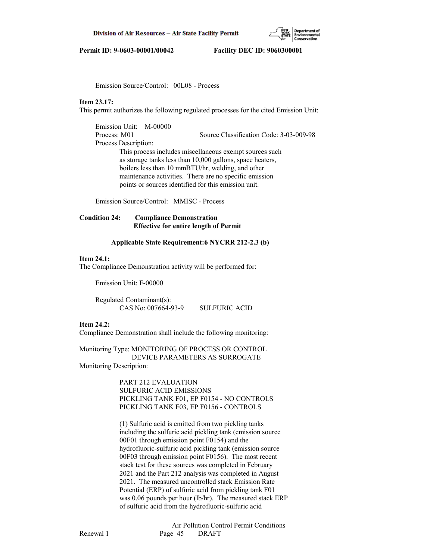

Emission Source/Control: 00L08 - Process

#### **Item 23.17:**

This permit authorizes the following regulated processes for the cited Emission Unit:

 Emission Unit: M-00000 Process: M01 Source Classification Code: 3-03-009-98 Process Description: This process includes miscellaneous exempt sources such as storage tanks less than 10,000 gallons, space heaters, boilers less than 10 mmBTU/hr, welding, and other maintenance activities. There are no specific emission points or sources identified for this emission unit.

Emission Source/Control: MMISC - Process

# **Condition 24: Compliance Demonstration Effective for entire length of Permit**

## **Applicable State Requirement:6 NYCRR 212-2.3 (b)**

### **Item 24.1:**

The Compliance Demonstration activity will be performed for:

Emission Unit: F-00000

 Regulated Contaminant(s): CAS No: 007664-93-9 SULFURIC ACID

#### **Item 24.2:**

Compliance Demonstration shall include the following monitoring:

Monitoring Type: MONITORING OF PROCESS OR CONTROL DEVICE PARAMETERS AS SURROGATE Monitoring Description:

> PART 212 EVALUATION SULFURIC ACID EMISSIONS PICKLING TANK F01, EP F0154 - NO CONTROLS PICKLING TANK F03, EP F0156 - CONTROLS

 (1) Sulfuric acid is emitted from two pickling tanks including the sulfuric acid pickling tank (emission source 00F01 through emission point F0154) and the hydrofluoric-sulfuric acid pickling tank (emission source 00F03 through emission point F0156). The most recent stack test for these sources was completed in February 2021 and the Part 212 analysis was completed in August 2021. The measured uncontrolled stack Emission Rate Potential (ERP) of sulfuric acid from pickling tank F01 was 0.06 pounds per hour (lb/hr). The measured stack ERP of sulfuric acid from the hydrofluoric-sulfuric acid

 Air Pollution Control Permit Conditions Renewal 1 Page 45 DRAFT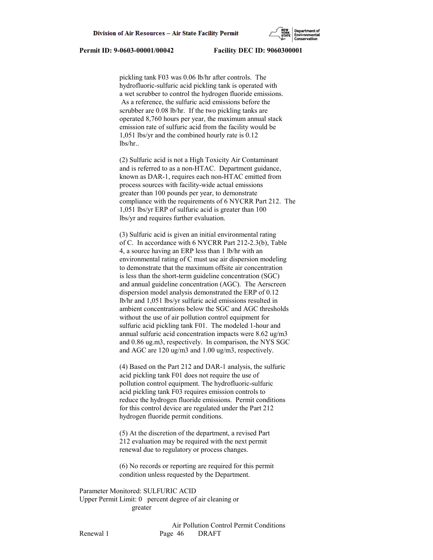pickling tank F03 was 0.06 lb/hr after controls. The hydrofluoric-sulfuric acid pickling tank is operated with a wet scrubber to control the hydrogen fluoride emissions. As a reference, the sulfuric acid emissions before the scrubber are 0.08 lb/hr. If the two pickling tanks are operated 8,760 hours per year, the maximum annual stack emission rate of sulfuric acid from the facility would be 1,051 lbs/yr and the combined hourly rate is 0.12 lbs/hr..

 (2) Sulfuric acid is not a High Toxicity Air Contaminant and is referred to as a non-HTAC. Department guidance, known as DAR-1, requires each non-HTAC emitted from process sources with facility-wide actual emissions greater than 100 pounds per year, to demonstrate compliance with the requirements of 6 NYCRR Part 212. The 1,051 lbs/yr ERP of sulfuric acid is greater than 100 lbs/yr and requires further evaluation.

 (3) Sulfuric acid is given an initial environmental rating of C. In accordance with 6 NYCRR Part 212-2.3(b), Table 4, a source having an ERP less than 1 lb/hr with an environmental rating of C must use air dispersion modeling to demonstrate that the maximum offsite air concentration is less than the short-term guideline concentration (SGC) and annual guideline concentration (AGC). The Aerscreen dispersion model analysis demonstrated the ERP of 0.12 lb/hr and 1,051 lbs/yr sulfuric acid emissions resulted in ambient concentrations below the SGC and AGC thresholds without the use of air pollution control equipment for sulfuric acid pickling tank F01. The modeled 1-hour and annual sulfuric acid concentration impacts were 8.62 ug/m3 and 0.86 ug.m3, respectively. In comparison, the NYS SGC and AGC are 120 ug/m3 and 1.00 ug/m3, respectively.

 (4) Based on the Part 212 and DAR-1 analysis, the sulfuric acid pickling tank F01 does not require the use of pollution control equipment. The hydrofluoric-sulfuric acid pickling tank F03 requires emission controls to reduce the hydrogen fluoride emissions. Permit conditions for this control device are regulated under the Part 212 hydrogen fluoride permit conditions.

 (5) At the discretion of the department, a revised Part 212 evaluation may be required with the next permit renewal due to regulatory or process changes.

 (6) No records or reporting are required for this permit condition unless requested by the Department.

Parameter Monitored: SULFURIC ACID Upper Permit Limit: 0 percent degree of air cleaning or greater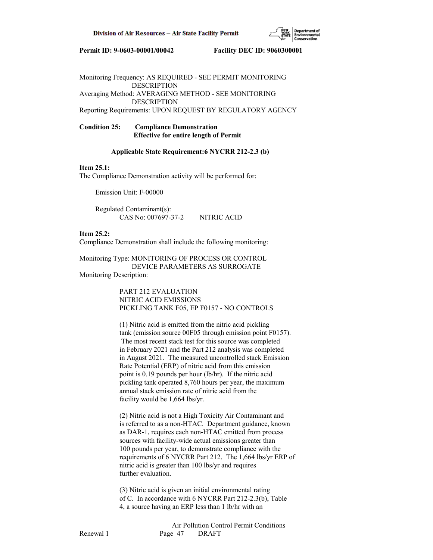

Monitoring Frequency: AS REQUIRED - SEE PERMIT MONITORING DESCRIPTION Averaging Method: AVERAGING METHOD - SEE MONITORING DESCRIPTION Reporting Requirements: UPON REQUEST BY REGULATORY AGENCY

**Condition 25: Compliance Demonstration Effective for entire length of Permit**

### **Applicable State Requirement:6 NYCRR 212-2.3 (b)**

### **Item 25.1:**

The Compliance Demonstration activity will be performed for:

Emission Unit: F-00000

 Regulated Contaminant(s): CAS No: 007697-37-2 NITRIC ACID

**Item 25.2:**

Compliance Demonstration shall include the following monitoring:

Monitoring Type: MONITORING OF PROCESS OR CONTROL DEVICE PARAMETERS AS SURROGATE Monitoring Description:

> PART 212 EVALUATION NITRIC ACID EMISSIONS PICKLING TANK F05, EP F0157 - NO CONTROLS

 (1) Nitric acid is emitted from the nitric acid pickling tank (emission source 00F05 through emission point F0157). The most recent stack test for this source was completed in February 2021 and the Part 212 analysis was completed in August 2021. The measured uncontrolled stack Emission Rate Potential (ERP) of nitric acid from this emission point is 0.19 pounds per hour (lb/hr). If the nitric acid pickling tank operated 8,760 hours per year, the maximum annual stack emission rate of nitric acid from the facility would be 1,664 lbs/yr.

 (2) Nitric acid is not a High Toxicity Air Contaminant and is referred to as a non-HTAC. Department guidance, known as DAR-1, requires each non-HTAC emitted from process sources with facility-wide actual emissions greater than 100 pounds per year, to demonstrate compliance with the requirements of 6 NYCRR Part 212. The 1,664 lbs/yr ERP of nitric acid is greater than 100 lbs/yr and requires further evaluation.

 (3) Nitric acid is given an initial environmental rating of C. In accordance with 6 NYCRR Part 212-2.3(b), Table 4, a source having an ERP less than 1 lb/hr with an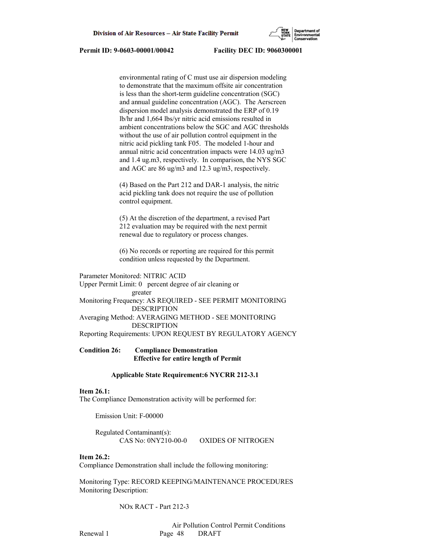

 environmental rating of C must use air dispersion modeling to demonstrate that the maximum offsite air concentration is less than the short-term guideline concentration (SGC) and annual guideline concentration (AGC). The Aerscreen dispersion model analysis demonstrated the ERP of 0.19 lb/hr and 1,664 lbs/yr nitric acid emissions resulted in ambient concentrations below the SGC and AGC thresholds without the use of air pollution control equipment in the nitric acid pickling tank F05. The modeled 1-hour and annual nitric acid concentration impacts were 14.03 ug/m3 and 1.4 ug.m3, respectively. In comparison, the NYS SGC and AGC are 86 ug/m3 and 12.3 ug/m3, respectively.

 (4) Based on the Part 212 and DAR-1 analysis, the nitric acid pickling tank does not require the use of pollution control equipment.

 (5) At the discretion of the department, a revised Part 212 evaluation may be required with the next permit renewal due to regulatory or process changes.

 (6) No records or reporting are required for this permit condition unless requested by the Department.

## Parameter Monitored: NITRIC ACID

Upper Permit Limit: 0 percent degree of air cleaning or greater Monitoring Frequency: AS REQUIRED - SEE PERMIT MONITORING DESCRIPTION Averaging Method: AVERAGING METHOD - SEE MONITORING DESCRIPTION Reporting Requirements: UPON REQUEST BY REGULATORY AGENCY

# **Condition 26: Compliance Demonstration Effective for entire length of Permit**

#### **Applicable State Requirement:6 NYCRR 212-3.1**

#### **Item 26.1:**

The Compliance Demonstration activity will be performed for:

Emission Unit: F-00000

 Regulated Contaminant(s): CAS No: 0NY210-00-0 OXIDES OF NITROGEN

#### **Item 26.2:**

Compliance Demonstration shall include the following monitoring:

Monitoring Type: RECORD KEEPING/MAINTENANCE PROCEDURES Monitoring Description:

NOx RACT - Part 212-3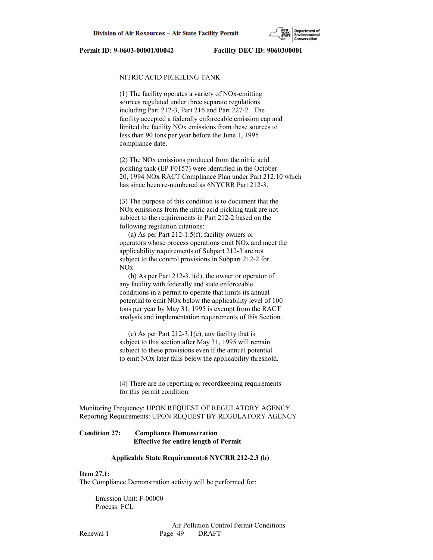

## NITRIC ACID PICKILING TANK

 (1) The facility operates a variety of NOx-emitting sources regulated under three separate regulations including Part 212-3, Part 216 and Part 227-2. The facility accepted a federally enforceable emission cap and limited the facility NOx emissions from these sources to less than 90 tons per year before the June 1, 1995 compliance date.

 (2) The NOx emissions produced from the nitric acid pickling tank (EP F0157) were identified in the October 20, 1994 NOx RACT Compliance Plan under Part 212.10 which has since been re-numbered as 6NYCRR Part 212-3.

 (3) The purpose of this condition is to document that the NOx emissions from the nitric acid pickling tank are not subject to the requirements in Part 212-2 based on the following regulation citations:

 (a) As per Part 212-1.5(f), facility owners or operators whose process operations emit NOx and meet the applicability requirements of Subpart 212-3 are not subject to the control provisions in Subpart 212-2 for NOx.

 (b) As per Part 212-3.1(d), the owner or operator of any facility with federally and state enforceable conditions in a permit to operate that limits its annual potential to emit NOx below the applicability level of 100 tons per year by May 31, 1995 is exempt from the RACT analysis and implementation requirements of this Section.

 (c) As per Part 212-3.1(e), any facility that is subject to this section after May 31, 1995 will remain subject to these provisions even if the annual potential to emit NOx later falls below the applicability threshold.

 (4) There are no reporting or recordkeeping requirements for this permit condition.

Monitoring Frequency: UPON REQUEST OF REGULATORY AGENCY Reporting Requirements: UPON REQUEST BY REGULATORY AGENCY

# **Condition 27: Compliance Demonstration Effective for entire length of Permit**

## **Applicable State Requirement:6 NYCRR 212-2.3 (b)**

#### **Item 27.1:**

The Compliance Demonstration activity will be performed for:

 Emission Unit: F-00000 Process: FCL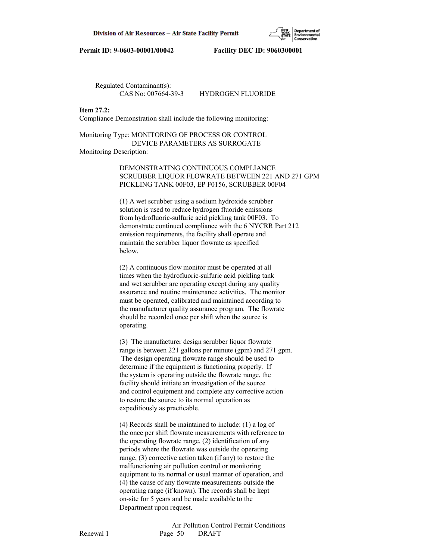

Regulated Contaminant(s):

CAS No: 007664-39-3 HYDROGEN FLUORIDE

#### **Item 27.2:**

Compliance Demonstration shall include the following monitoring:

Monitoring Type: MONITORING OF PROCESS OR CONTROL DEVICE PARAMETERS AS SURROGATE Monitoring Description:

> DEMONSTRATING CONTINUOUS COMPLIANCE SCRUBBER LIQUOR FLOWRATE BETWEEN 221 AND 271 GPM PICKLING TANK 00F03, EP F0156, SCRUBBER 00F04

 (1) A wet scrubber using a sodium hydroxide scrubber solution is used to reduce hydrogen fluoride emissions from hydrofluoric-sulfuric acid pickling tank 00F03. To demonstrate continued compliance with the 6 NYCRR Part 212 emission requirements, the facility shall operate and maintain the scrubber liquor flowrate as specified below.

 (2) A continuous flow monitor must be operated at all times when the hydrofluoric-sulfuric acid pickling tank and wet scrubber are operating except during any quality assurance and routine maintenance activities. The monitor must be operated, calibrated and maintained according to the manufacturer quality assurance program. The flowrate should be recorded once per shift when the source is operating.

 (3) The manufacturer design scrubber liquor flowrate range is between 221 gallons per minute (gpm) and 271 gpm. The design operating flowrate range should be used to determine if the equipment is functioning properly. If the system is operating outside the flowrate range, the facility should initiate an investigation of the source and control equipment and complete any corrective action to restore the source to its normal operation as expeditiously as practicable.

 (4) Records shall be maintained to include: (1) a log of the once per shift flowrate measurements with reference to the operating flowrate range, (2) identification of any periods where the flowrate was outside the operating range, (3) corrective action taken (if any) to restore the malfunctioning air pollution control or monitoring equipment to its normal or usual manner of operation, and (4) the cause of any flowrate measurements outside the operating range (if known). The records shall be kept on-site for 5 years and be made available to the Department upon request.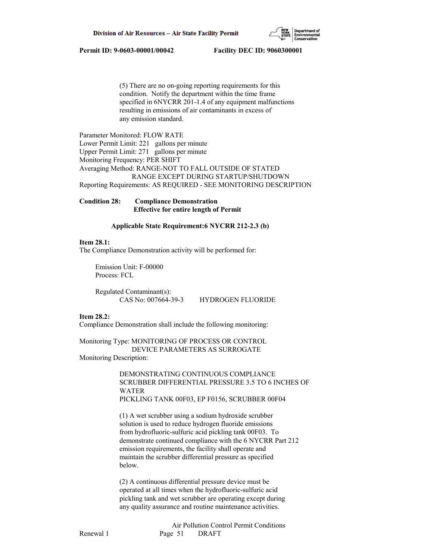

 (5) There are no on-going reporting requirements for this condition. Notify the department within the time frame specified in 6NYCRR 201-1.4 of any equipment malfunctions resulting in emissions of air contaminants in excess of any emission standard.

Parameter Monitored: FLOW RATE Lower Permit Limit: 221 gallons per minute Upper Permit Limit: 271 gallons per minute Monitoring Frequency: PER SHIFT Averaging Method: RANGE-NOT TO FALL OUTSIDE OF STATED RANGE EXCEPT DURING STARTUP/SHUTDOWN Reporting Requirements: AS REQUIRED - SEE MONITORING DESCRIPTION

**Condition 28: Compliance Demonstration Effective for entire length of Permit**

## **Applicable State Requirement:6 NYCRR 212-2.3 (b)**

#### **Item 28.1:**

The Compliance Demonstration activity will be performed for:

 Emission Unit: F-00000 Process: FCL

 Regulated Contaminant(s): CAS No: 007664-39-3 HYDROGEN FLUORIDE

## **Item 28.2:**

Compliance Demonstration shall include the following monitoring:

Monitoring Type: MONITORING OF PROCESS OR CONTROL DEVICE PARAMETERS AS SURROGATE Monitoring Description:

> DEMONSTRATING CONTINUOUS COMPLIANCE SCRUBBER DIFFERENTIAL PRESSURE 3.5 TO 6 INCHES OF WATER PICKLING TANK 00F03, EP F0156, SCRUBBER 00F04

 (1) A wet scrubber using a sodium hydroxide scrubber solution is used to reduce hydrogen fluoride emissions from hydrofluoric-sulfuric acid pickling tank 00F03. To demonstrate continued compliance with the 6 NYCRR Part 212 emission requirements, the facility shall operate and maintain the scrubber differential pressure as specified below.

 (2) A continuous differential pressure device must be operated at all times when the hydrofluoric-sulfuric acid pickling tank and wet scrubber are operating except during any quality assurance and routine maintenance activities.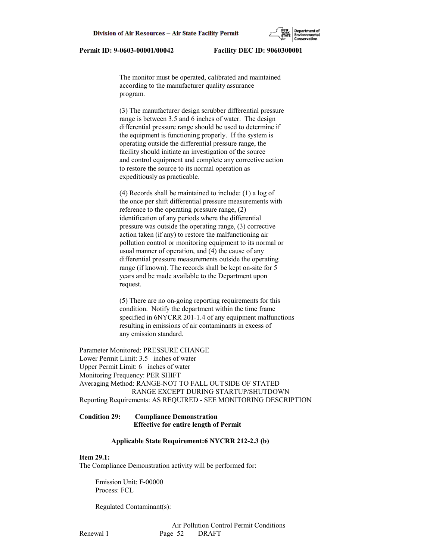The monitor must be operated, calibrated and maintained according to the manufacturer quality assurance program.

 (3) The manufacturer design scrubber differential pressure range is between 3.5 and 6 inches of water. The design differential pressure range should be used to determine if the equipment is functioning properly. If the system is operating outside the differential pressure range, the facility should initiate an investigation of the source and control equipment and complete any corrective action to restore the source to its normal operation as expeditiously as practicable.

 (4) Records shall be maintained to include: (1) a log of the once per shift differential pressure measurements with reference to the operating pressure range, (2) identification of any periods where the differential pressure was outside the operating range, (3) corrective action taken (if any) to restore the malfunctioning air pollution control or monitoring equipment to its normal or usual manner of operation, and (4) the cause of any differential pressure measurements outside the operating range (if known). The records shall be kept on-site for 5 years and be made available to the Department upon request.

 (5) There are no on-going reporting requirements for this condition. Notify the department within the time frame specified in 6NYCRR 201-1.4 of any equipment malfunctions resulting in emissions of air contaminants in excess of any emission standard.

Parameter Monitored: PRESSURE CHANGE Lower Permit Limit: 3.5 inches of water Upper Permit Limit: 6 inches of water Monitoring Frequency: PER SHIFT Averaging Method: RANGE-NOT TO FALL OUTSIDE OF STATED RANGE EXCEPT DURING STARTUP/SHUTDOWN Reporting Requirements: AS REQUIRED - SEE MONITORING DESCRIPTION

### **Condition 29: Compliance Demonstration Effective for entire length of Permit**

### **Applicable State Requirement:6 NYCRR 212-2.3 (b)**

# **Item 29.1:**

The Compliance Demonstration activity will be performed for:

 Emission Unit: F-00000 Process: FCL

Regulated Contaminant(s):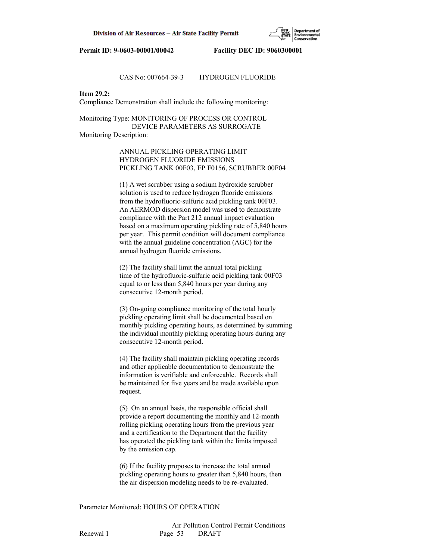

## CAS No: 007664-39-3 HYDROGEN FLUORIDE

# **Item 29.2:**

Compliance Demonstration shall include the following monitoring:

Monitoring Type: MONITORING OF PROCESS OR CONTROL DEVICE PARAMETERS AS SURROGATE Monitoring Description:

> ANNUAL PICKLING OPERATING LIMIT HYDROGEN FLUORIDE EMISSIONS PICKLING TANK 00F03, EP F0156, SCRUBBER 00F04

> (1) A wet scrubber using a sodium hydroxide scrubber solution is used to reduce hydrogen fluoride emissions from the hydrofluoric-sulfuric acid pickling tank 00F03. An AERMOD dispersion model was used to demonstrate compliance with the Part 212 annual impact evaluation based on a maximum operating pickling rate of 5,840 hours per year. This permit condition will document compliance with the annual guideline concentration (AGC) for the annual hydrogen fluoride emissions.

 (2) The facility shall limit the annual total pickling time of the hydrofluoric-sulfuric acid pickling tank 00F03 equal to or less than 5,840 hours per year during any consecutive 12-month period.

 (3) On-going compliance monitoring of the total hourly pickling operating limit shall be documented based on monthly pickling operating hours, as determined by summing the individual monthly pickling operating hours during any consecutive 12-month period.

 (4) The facility shall maintain pickling operating records and other applicable documentation to demonstrate the information is verifiable and enforceable. Records shall be maintained for five years and be made available upon request.

 (5) On an annual basis, the responsible official shall provide a report documenting the monthly and 12-month rolling pickling operating hours from the previous year and a certification to the Department that the facility has operated the pickling tank within the limits imposed by the emission cap.

 (6) If the facility proposes to increase the total annual pickling operating hours to greater than 5,840 hours, then the air dispersion modeling needs to be re-evaluated.

Parameter Monitored: HOURS OF OPERATION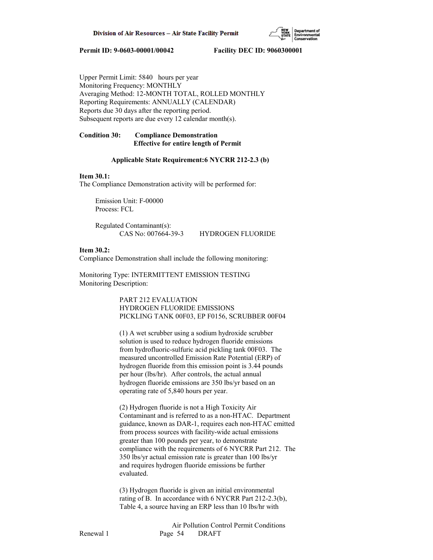

Upper Permit Limit: 5840 hours per year Monitoring Frequency: MONTHLY Averaging Method: 12-MONTH TOTAL, ROLLED MONTHLY Reporting Requirements: ANNUALLY (CALENDAR) Reports due 30 days after the reporting period. Subsequent reports are due every 12 calendar month(s).

## **Condition 30: Compliance Demonstration Effective for entire length of Permit**

#### **Applicable State Requirement:6 NYCRR 212-2.3 (b)**

#### **Item 30.1:**

The Compliance Demonstration activity will be performed for:

 Emission Unit: F-00000 Process: FCL

 Regulated Contaminant(s): CAS No: 007664-39-3 HYDROGEN FLUORIDE

#### **Item 30.2:**

Compliance Demonstration shall include the following monitoring:

Monitoring Type: INTERMITTENT EMISSION TESTING Monitoring Description:

> PART 212 EVALUATION HYDROGEN FLUORIDE EMISSIONS PICKLING TANK 00F03, EP F0156, SCRUBBER 00F04

 (1) A wet scrubber using a sodium hydroxide scrubber solution is used to reduce hydrogen fluoride emissions from hydrofluoric-sulfuric acid pickling tank 00F03. The measured uncontrolled Emission Rate Potential (ERP) of hydrogen fluoride from this emission point is 3.44 pounds per hour (lbs/hr). After controls, the actual annual hydrogen fluoride emissions are 350 lbs/yr based on an operating rate of 5,840 hours per year.

 (2) Hydrogen fluoride is not a High Toxicity Air Contaminant and is referred to as a non-HTAC. Department guidance, known as DAR-1, requires each non-HTAC emitted from process sources with facility-wide actual emissions greater than 100 pounds per year, to demonstrate compliance with the requirements of 6 NYCRR Part 212. The 350 lbs/yr actual emission rate is greater than 100 lbs/yr and requires hydrogen fluoride emissions be further evaluated.

 (3) Hydrogen fluoride is given an initial environmental rating of B. In accordance with 6 NYCRR Part 212-2.3(b), Table 4, a source having an ERP less than 10 lbs/hr with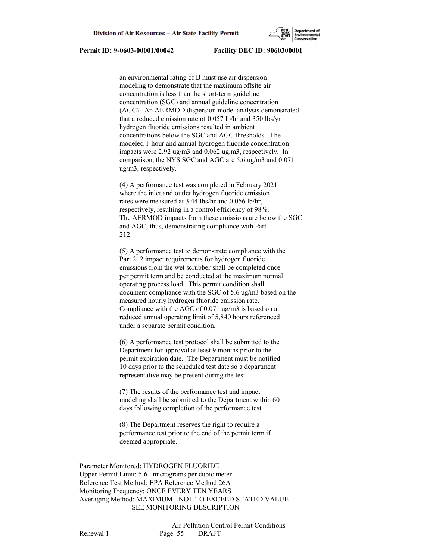

 an environmental rating of B must use air dispersion modeling to demonstrate that the maximum offsite air concentration is less than the short-term guideline concentration (SGC) and annual guideline concentration (AGC). An AERMOD dispersion model analysis demonstrated that a reduced emission rate of 0.057 lb/hr and 350 lbs/yr hydrogen fluoride emissions resulted in ambient concentrations below the SGC and AGC thresholds. The modeled 1-hour and annual hydrogen fluoride concentration impacts were 2.92 ug/m3 and 0.062 ug.m3, respectively. In comparison, the NYS SGC and AGC are 5.6 ug/m3 and 0.071 ug/m3, respectively.

 (4) A performance test was completed in February 2021 where the inlet and outlet hydrogen fluoride emission rates were measured at 3.44 lbs/hr and 0.056 lb/hr, respectively, resulting in a control efficiency of 98%. The AERMOD impacts from these emissions are below the SGC and AGC, thus, demonstrating compliance with Part 212.

 (5) A performance test to demonstrate compliance with the Part 212 impact requirements for hydrogen fluoride emissions from the wet scrubber shall be completed once per permit term and be conducted at the maximum normal operating process load. This permit condition shall document compliance with the SGC of 5.6 ug/m3 based on the measured hourly hydrogen fluoride emission rate. Compliance with the AGC of 0.071 ug/m3 is based on a reduced annual operating limit of 5,840 hours referenced under a separate permit condition.

 (6) A performance test protocol shall be submitted to the Department for approval at least 9 months prior to the permit expiration date. The Department must be notified 10 days prior to the scheduled test date so a department representative may be present during the test.

 (7) The results of the performance test and impact modeling shall be submitted to the Department within 60 days following completion of the performance test.

 (8) The Department reserves the right to require a performance test prior to the end of the permit term if deemed appropriate.

Parameter Monitored: HYDROGEN FLUORIDE Upper Permit Limit: 5.6 micrograms per cubic meter Reference Test Method: EPA Reference Method 26A Monitoring Frequency: ONCE EVERY TEN YEARS Averaging Method: MAXIMUM - NOT TO EXCEED STATED VALUE - SEE MONITORING DESCRIPTION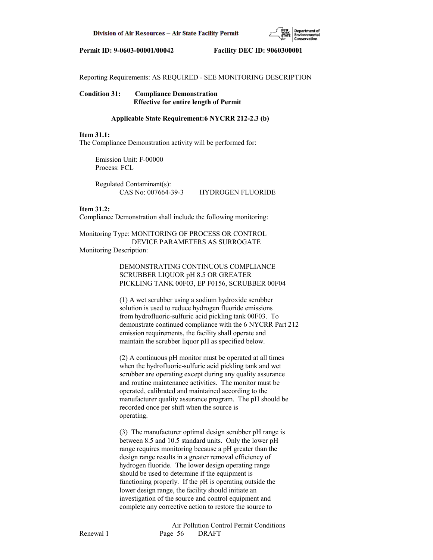

Reporting Requirements: AS REQUIRED - SEE MONITORING DESCRIPTION

## **Condition 31: Compliance Demonstration Effective for entire length of Permit**

### **Applicable State Requirement:6 NYCRR 212-2.3 (b)**

#### **Item 31.1:**

The Compliance Demonstration activity will be performed for:

 Emission Unit: F-00000 Process: FCL

 Regulated Contaminant(s): CAS No: 007664-39-3 HYDROGEN FLUORIDE

#### **Item 31.2:**

Compliance Demonstration shall include the following monitoring:

Monitoring Type: MONITORING OF PROCESS OR CONTROL DEVICE PARAMETERS AS SURROGATE Monitoring Description:

> DEMONSTRATING CONTINUOUS COMPLIANCE SCRUBBER LIQUOR pH 8.5 OR GREATER PICKLING TANK 00F03, EP F0156, SCRUBBER 00F04

 (1) A wet scrubber using a sodium hydroxide scrubber solution is used to reduce hydrogen fluoride emissions from hydrofluoric-sulfuric acid pickling tank 00F03. To demonstrate continued compliance with the 6 NYCRR Part 212 emission requirements, the facility shall operate and maintain the scrubber liquor pH as specified below.

 (2) A continuous pH monitor must be operated at all times when the hydrofluoric-sulfuric acid pickling tank and wet scrubber are operating except during any quality assurance and routine maintenance activities. The monitor must be operated, calibrated and maintained according to the manufacturer quality assurance program. The pH should be recorded once per shift when the source is operating.

 (3) The manufacturer optimal design scrubber pH range is between 8.5 and 10.5 standard units. Only the lower pH range requires monitoring because a pH greater than the design range results in a greater removal efficiency of hydrogen fluoride. The lower design operating range should be used to determine if the equipment is functioning properly. If the pH is operating outside the lower design range, the facility should initiate an investigation of the source and control equipment and complete any corrective action to restore the source to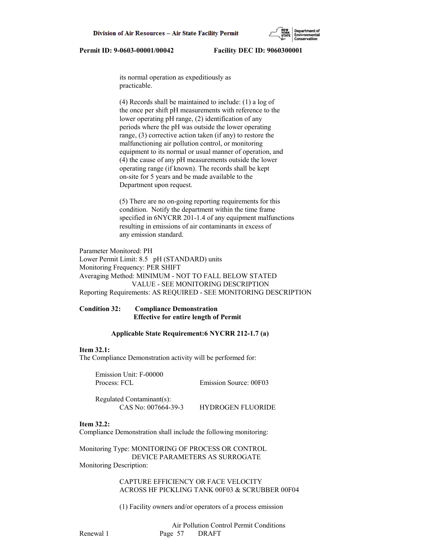its normal operation as expeditiously as practicable.

 (4) Records shall be maintained to include: (1) a log of the once per shift pH measurements with reference to the lower operating pH range, (2) identification of any periods where the pH was outside the lower operating range, (3) corrective action taken (if any) to restore the malfunctioning air pollution control, or monitoring equipment to its normal or usual manner of operation, and (4) the cause of any pH measurements outside the lower operating range (if known). The records shall be kept on-site for 5 years and be made available to the Department upon request.

 (5) There are no on-going reporting requirements for this condition. Notify the department within the time frame specified in 6NYCRR 201-1.4 of any equipment malfunctions resulting in emissions of air contaminants in excess of any emission standard.

Parameter Monitored: PH Lower Permit Limit: 8.5 pH (STANDARD) units Monitoring Frequency: PER SHIFT Averaging Method: MINIMUM - NOT TO FALL BELOW STATED VALUE - SEE MONITORING DESCRIPTION Reporting Requirements: AS REQUIRED - SEE MONITORING DESCRIPTION

# **Condition 32: Compliance Demonstration Effective for entire length of Permit**

#### **Applicable State Requirement:6 NYCRR 212-1.7 (a)**

#### **Item 32.1:**

The Compliance Demonstration activity will be performed for:

 Emission Unit: F-00000 Process: FCL Emission Source: 00F03

 Regulated Contaminant(s): CAS No: 007664-39-3 HYDROGEN FLUORIDE

# **Item 32.2:**

Compliance Demonstration shall include the following monitoring:

Monitoring Type: MONITORING OF PROCESS OR CONTROL DEVICE PARAMETERS AS SURROGATE Monitoring Description:

> CAPTURE EFFICIENCY OR FACE VELOCITY ACROSS HF PICKLING TANK 00F03 & SCRUBBER 00F04

(1) Facility owners and/or operators of a process emission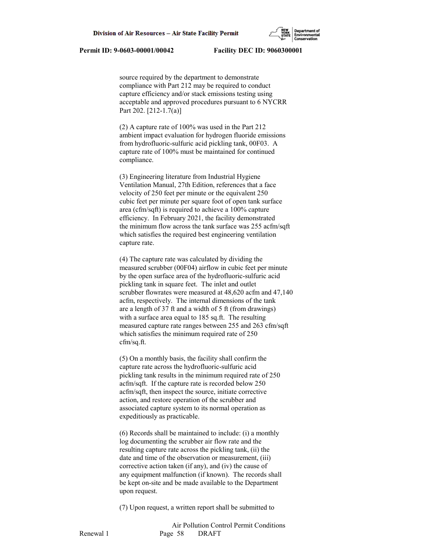source required by the department to demonstrate compliance with Part 212 may be required to conduct capture efficiency and/or stack emissions testing using acceptable and approved procedures pursuant to 6 NYCRR Part 202. [212-1.7(a)]

 (2) A capture rate of 100% was used in the Part 212 ambient impact evaluation for hydrogen fluoride emissions from hydrofluoric-sulfuric acid pickling tank, 00F03. A capture rate of 100% must be maintained for continued compliance.

 (3) Engineering literature from Industrial Hygiene Ventilation Manual, 27th Edition, references that a face velocity of 250 feet per minute or the equivalent 250 cubic feet per minute per square foot of open tank surface area (cfm/sqft) is required to achieve a 100% capture efficiency. In February 2021, the facility demonstrated the minimum flow across the tank surface was 255 acfm/sqft which satisfies the required best engineering ventilation capture rate.

 (4) The capture rate was calculated by dividing the measured scrubber (00F04) airflow in cubic feet per minute by the open surface area of the hydrofluoric-sulfuric acid pickling tank in square feet. The inlet and outlet scrubber flowrates were measured at 48,620 acfm and 47,140 acfm, respectively. The internal dimensions of the tank are a length of 37 ft and a width of 5 ft (from drawings) with a surface area equal to 185 sq.ft. The resulting measured capture rate ranges between 255 and 263 cfm/sqft which satisfies the minimum required rate of 250 cfm/sq.ft.

 (5) On a monthly basis, the facility shall confirm the capture rate across the hydrofluoric-sulfuric acid pickling tank results in the minimum required rate of 250 acfm/sqft. If the capture rate is recorded below 250 acfm/sqft, then inspect the source, initiate corrective action, and restore operation of the scrubber and associated capture system to its normal operation as expeditiously as practicable.

 (6) Records shall be maintained to include: (i) a monthly log documenting the scrubber air flow rate and the resulting capture rate across the pickling tank, (ii) the date and time of the observation or measurement, (iii) corrective action taken (if any), and (iv) the cause of any equipment malfunction (if known). The records shall be kept on-site and be made available to the Department upon request.

(7) Upon request, a written report shall be submitted to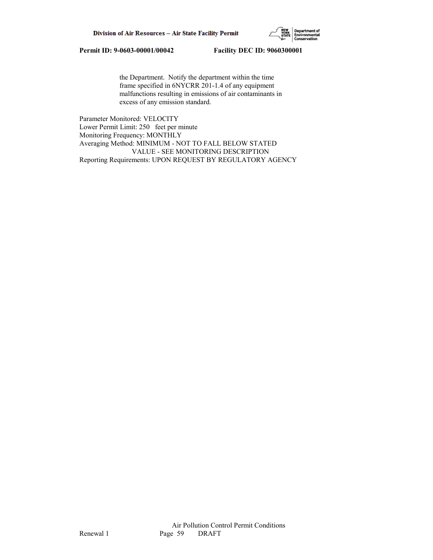

 the Department. Notify the department within the time frame specified in 6NYCRR 201-1.4 of any equipment malfunctions resulting in emissions of air contaminants in excess of any emission standard.

Parameter Monitored: VELOCITY Lower Permit Limit: 250 feet per minute Monitoring Frequency: MONTHLY Averaging Method: MINIMUM - NOT TO FALL BELOW STATED VALUE - SEE MONITORING DESCRIPTION Reporting Requirements: UPON REQUEST BY REGULATORY AGENCY